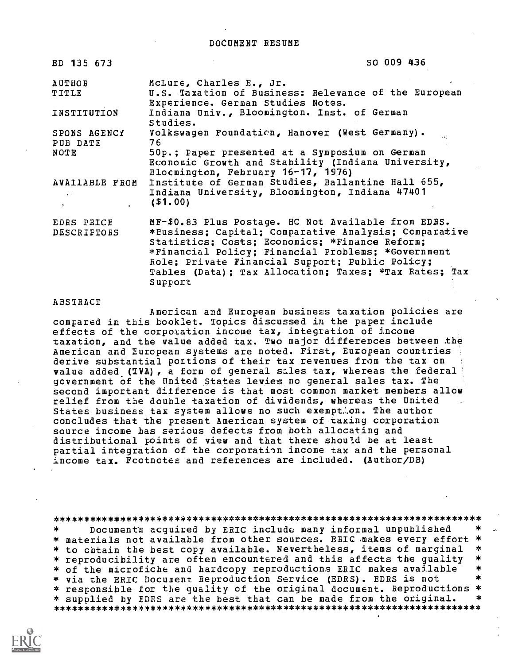| ED 135 673                                            | SO 009 436                                                                                                                                                                                                                                                                                                                                  |
|-------------------------------------------------------|---------------------------------------------------------------------------------------------------------------------------------------------------------------------------------------------------------------------------------------------------------------------------------------------------------------------------------------------|
| <b>AUTHOR</b><br>TITLE                                | McLure, Charles E., Jr.<br>U.S. Taxation of Business: Relevance of the European<br>Experience. German Studies Notes.                                                                                                                                                                                                                        |
| INSTITUTION                                           | Indiana Univ., Bloomington. Inst. of German<br>Studies.                                                                                                                                                                                                                                                                                     |
| SPONS AGENCY<br>PUB DATE                              | Volkswagen Foundation, Hanover (West Germany).<br>76                                                                                                                                                                                                                                                                                        |
| NOTE                                                  | 50p.; Paper presented at a Symposium on German<br>Economic Growth and Stability (Indiana University,<br>Blocmington, February 16-17, 1976)                                                                                                                                                                                                  |
| AVAILABLE FROM<br>$\mathcal{L}^{(1)}$ .<br>$\sigma$ . | Institute of German Studies, Ballantine Hall 655,<br>Indiana University, Bloomington, Indiana 47401<br>( \$1,00)                                                                                                                                                                                                                            |
| EDRS PRICE<br>DESCRIPTORS                             | MF-\$0.83 Plus Postage. HC Not Available from EDBS.<br>*Business: Capital: Comparative Analysis: Comparative<br>Statistics; Costs; Economics; *Finance Reform;<br>*Financial Policy; Financial Problems; *Government<br>Role; Private Financial Support; Public Policy;<br>Tables (Data); Tax Allocation; Taxes; *Tax Rates; Tax<br>Support |

# ABSTRACT

American and European business taxation policies are compared in this booklet. Topics discussed in the paper include effects of the corporation income tax, integration of income taxation, and the value added tax. Two major differepces between the American and European systems are noted. First, European countries derive substantial portions of their tax revenues from the tax on value added (TVA), a form of general sales tax, whereas the federal government Of the United States levies no general sales tax. The second important difference is that most common market members allow relief from the double taxation of dividends, whereas the United States business tax system allows no such exempt.on. The author concludes that the present American system of taxing corporation source income has serious defects from both allocating and distributional points of view and that there should be at least partial integration of the corporation income tax and the personal income tax. Fcotnotes and references are included. (Author/DB)

\*\*\*\*\*\*\*\*\*\*\*\*\*\*\*\*\*\*\*\*\*\*\*\*\*\*\*\*\*\*\*\*\*\*\*\*\*\*\*\*\*\*\*\*\*\*\*\*\*\*\*\*\*\*\*\*\*\*\*\*\*\*\*\*\*\*\*\*\*\*\* \* . Document's acquired by ERIC include many informal unpublished \*<br>rials not available from other sources. ERIC makes every effort \* \* materials not available from other sources. ERIC makes every effort \*<br>\* to chtain the best copy available. Nevertheless, items of marginal \* \* to cbtain the best copy available. Nevertheless, items of marginal \*<br>\* reproducibility are often encountered and this affects the quality \*<br>\* of the microfiche and bardcony reproductions FRIC makes available \* \* of the microfiche and hardcopy reproductions ERIC makes available \* \* \* via the ERIC Document Reproduction Service (EDRS). EDRS is not \* responsible for the quality of the original document. Reproductions \* \* supplied by EDRS are the best that can be made from the original. \* \*\*\*\*\*\*\*\*\*\*\*\*\*\*\*\*\*\*\*\*\*\*\*\*\*\*\*\*\*\*\*\*\*\*\*\*\*\*\*\*\*\*\*\*\*\*\*\*\*\*\*\*\*\*\*\*\*\*\*\*\*\*\*\*\*\*\*\*\*\*\*

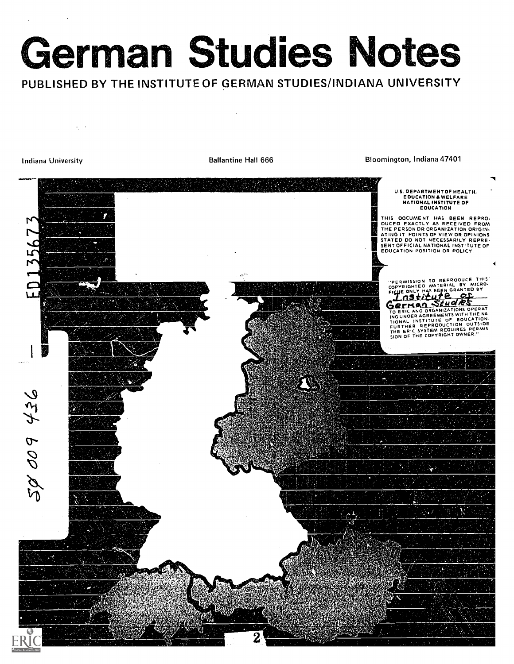# German Studies Notes

PUBLISHED BY THE INSTITUTE OF GERMAN STUDIES/INDIANA UNIVERSITY

 $\epsilon$  ,  $\epsilon$ 

Indiana University **Ballantine Hall 666** Bloomington, Indiana 47401

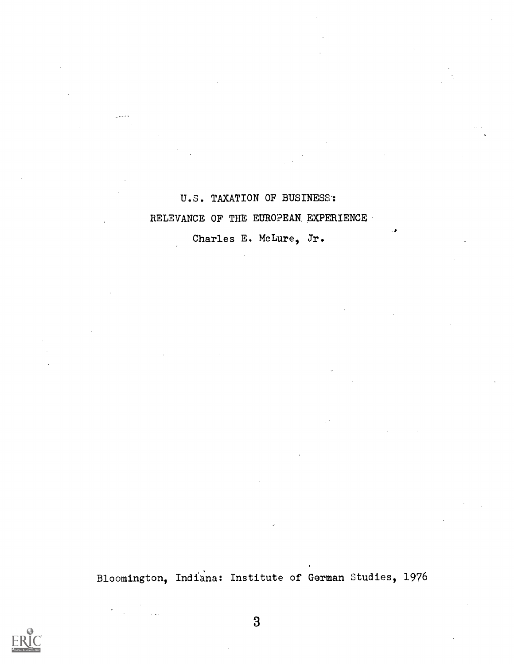U.S. TAXATION OF BUSINESS': RELEVANCE OF THE EUROPEAN EXPERIENCE

Charles E. McLure, Jr.

Bloomington, Indiana: Institute of German Studies, 1976

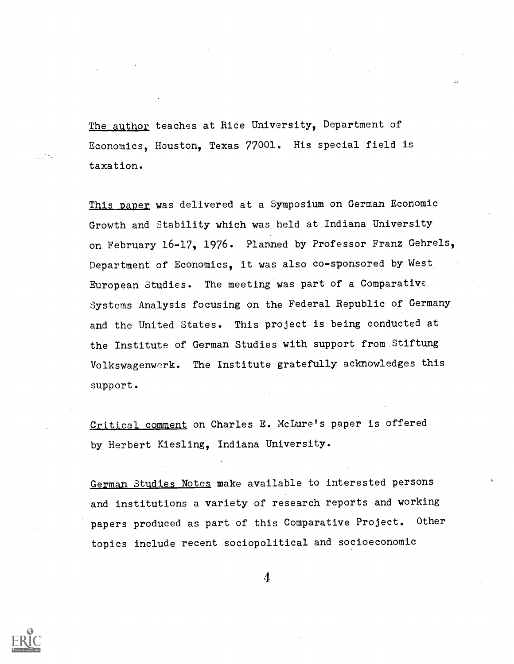The author teaches at Rice University, Department of Economics, Houston, Texas 77001. His special field is taxation.

This paper was delivered at a Symposium on German Economic Growth and Stability which was held at Indiana University on February 16-17, 1976. Planned by Professor Franz Gehrels, Department of Economics, it was also co-sponsored by West European Studies. The meeting was part of a Comparative Systems Analysis focusing on the Federal Republic of Germany and the United States. This project is being conducted at the Institute of German Studies with support from Stiftung Volkswagenwerk. The Institute gratefully acknowledges this support.

Critical comment on Charles E. McLure's paper is offered by Herbert Kiesling, Indiana University.

German Studies Notes make available to interested persons and institutions a variety of research reports and working papers produced as part of this Comparative Project. Other topics include recent sociopolitical and socioeconomic

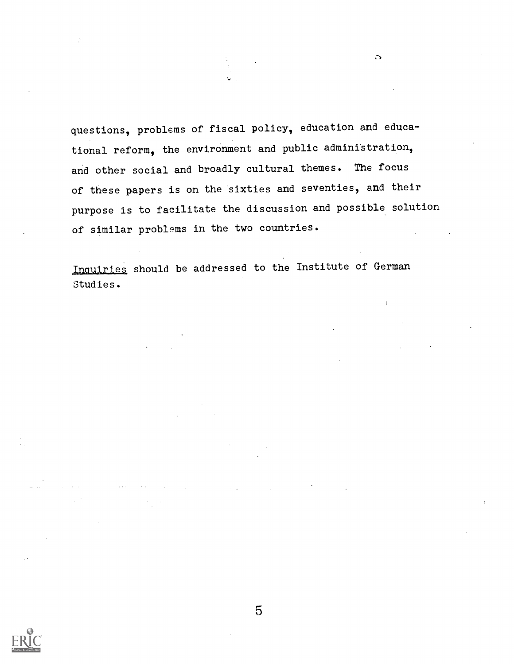questions, problems of fiscal policy, education and educational reform, the environment and public administration, and other social and broadly cultural themes. The focus of these papers is on the sixties and seventies, and their purpose is to facilitate the discussion and possible solution of similar problems in the two countries.

 $\mathbf{\Omega}$ 

 $\overline{1}$ 

Inquiries should be addressed to the Institute of German Studies.

and the company of the company of

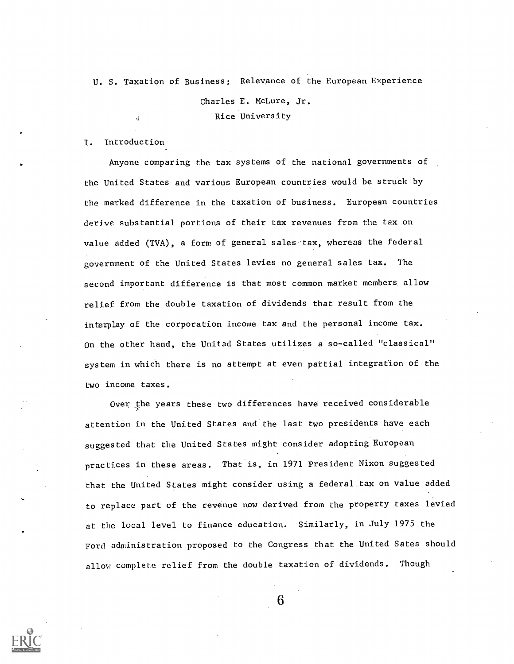U. S. Taxation of Business: Relevance of the European Experience

Charles E. McLure, Jr. Rice University

I. Introduction

Anyone comparing the tax systems of the national governments of the United States and various European countries would be struck by the marked difference in the taxation of business. European countries derive substantial portions of their tax revenues from the tax on value added (TVA), a form of general sales tax, whereas the federal government of the United States levies no general sales tax. The second important difference is that most common market members allow relief from the double taxation of dividends that result from the interplay of the corporation income tax and the personal income tax. On the other hand, the United States utilizes a so-called "classical" system in which there is no attempt at even partial integration of the two income taxes.

Over the years these two differences have received considerable attention in the United States and'the last two presidents have each suggested that the United States might consider adopting European practices in these areas. That is, in 1971 President Nixon suggested that the United States might consider using a federal tax on value added to replace part of the revenue now derived from the property taxes levied at the local level to finance education. Similarly, in July 1975 the Ford administration proposed to the Congress that the United Sates should allow complete relief from the double taxation of dividends. Though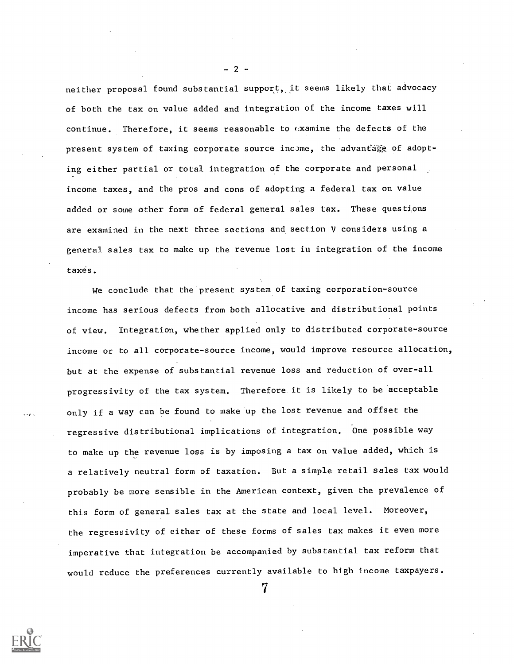neither proposal found substantial support, it seems likely that advocacy of both the tax on value added and integration of the income taxes will continue. Therefore, it seems reasonable to (xamine the defects of the present system of taxing corporate source income, the advantage of adopting either partial or total integration of the corporate and personal income taxes, and the pros and cons of adopting a federal tax on value added or some other form of federal general sales tax. These questions are examined in the next three sections and section V considers using a general sales tax to make up the revenue lost in integration of the income taxes.

We conclude that the'present system of taxing corporation-source income has serious defects from both allocative and distributional points of view. Integration, whether applied only to distributed corporate-source income or to all corporate-source income, would improve resource allocation, but at the expense of substantial revenue loss and reduction of over-all progressivity of the tax system. Therefore it is likely to be acceptable only if a way can be found to make up the lost revenue and offset the regressive distributional implications of integration. One possible way to make up the revenue loss is by imposing a tax on value added, which is a relatively neutral form of taxation. But a simple retail sales tax would probably be more sensible in the American context, given the prevalence of this form of general sales tax at the state and local level. Moreover, the regressivity of either of these forms of sales tax makes it even more imperative that integration be accompanied by substantial tax reform that would reduce the preferences currently available to high income taxpayers.

7

 $-2 -$ 

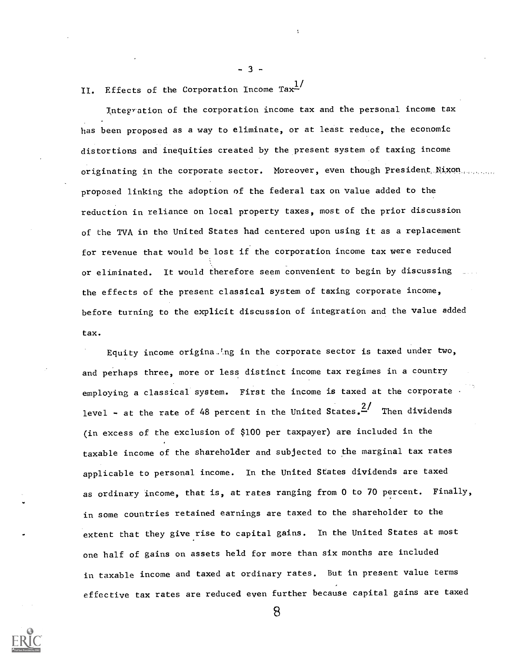II. Effects of the Corporation Income Ta $\mathbf{x}^{\perp /}$ 

- 3 -

Integration of the corporation income tax and the personal income tax has been proposed as a way to eliminate, or at least reduce, the economic distortions and inequities created by the present system of taxing income originating in the corporate sector. Moreover, even though President. Nixon... proposed linking the adoption of the federal tax on value added to the reduction in reliance on local property taxes, most of the prior discussion of the TVA in the United States had centered upon using it as a replacement for revenue that would be lost if the corporation income tax were reduced or eliminated. It would therefore seem convenient to begin by discussing the effects of the present classical system of taxing corporate income, before turning to the explicit discussion of integration and the value added tax.

Equity income origina.ing in the corporate sector is taxed under two, and perhaps three, more or less distinct income tax regimes in a country employing a classical system. First the income is taxed at the corporate . level – at the rate of 48 percent in the United States. $^{2}$  Then dividends (in excess of the exclusion of \$100 per taxpayer) are included in the taxable income of the shareholder and subjected to the marginal tax rates applicable to personal income. In the United States dividends are taxed as ordinary income, that is, at rates ranging from 0 to 70 percent. Finally, in some countries retained earnings are taxed to the shareholder to the extent that they give rise to capital gains. In the United States at most one half of gains on assets held for more than six months are included in taxable income and taxed at ordinary rates. But in present value terms effective tax rates are reduced even further because capital gains are taxed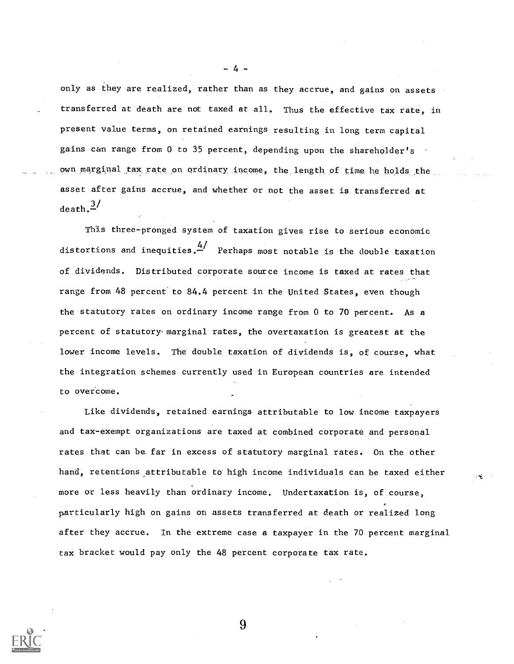only as they are realized, rather than as they accrue, and gains on assets transferred at death are not taxed at all. Thus the effective tax rate, in present value terms, on retained earnings resulting in long term capital gains can range from 0 to 35 percent, depending upon the shareholder's own marginal tax rate on ordinary income, the length of time he holds the asset after gains accrue, and whether or not the asset is transferred at  $death.$ <sup>3/</sup>

- 4 -

This three-pronged system of taxation gives rise to serious economic distortions and inequities.  $\overset{4\prime}{\cdot}$  Perhaps most notable is the double taxation of dividends. Distributed corporate source income is taxed at rates that range from 48 percent'to 84.4 percent in the United States, even though the statutory rates on ordinary income range from 0 to 70 percent. As a percent of statutory-marginal rates, the overtaxation is greatest at the lower income levels. The double taxation of dividends is, of course, what the integration schemes currently used in European countries are intended to overcome.

Like dividends, retained earnings attributable to low income taxpayers and tax-exempt organizations are taxed at combined corporate and personal rates that can be.far in excess of statutory marginal rates. On the other hand, retentions attributable to high income individuals can be taxed either more or less heavily than ordinary income. Undertaxation is, of course, particularly high on gains on assets transferred at death or realized long after they accrue. In the extreme case a taxpayer in the 70 percent marginal tax bracket would pay only the 48 percent corporate tax rate.

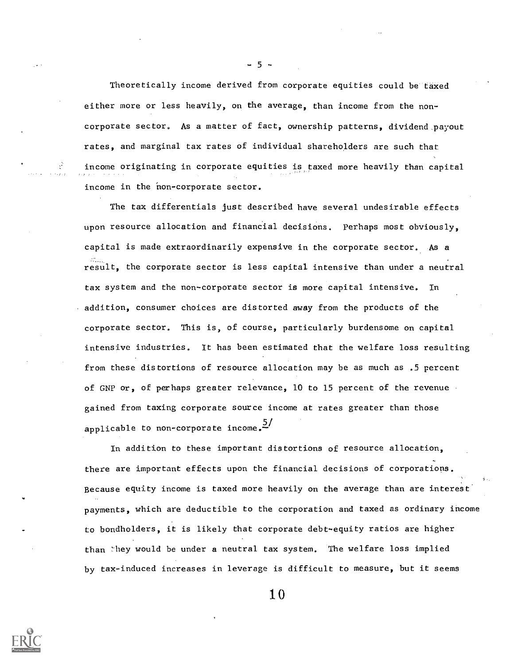Theoretically income derived from corporate equities could be taxed either more or less heavily, on the average, than income from the noncorporate sector. As a matter of fact, ownership patterns, dividend,payout rates, and marginal tax rates of individual shareholders are such that income originating in corporate equities is taxed more heavily than capital income in the non-corporate sector.

The tax differentials just described have several undesirable effects upon resource allocation and financial decisions. Perhaps most obviously, capital is made extraordinarily expensive in the corporate sector. As a result, the corporate sector is less capital intensive than under a neutral tax system and the non-corporate sector is more capital intensive. In addition, consumer choices are distorted away from the products of the corporate sector. This is, of course, particularly burdensome on capital intensive industries. It has been estimated that the welfare loss resulting from these distortions of resource allocation may be as much as .5 percent of GNP or, of perhaps greater relevance, 10 to 15 percent of the revenue gained from taxing corporate source income at rates greater than those applicable to non-corporate income.  $\frac{5}{1}$ 

In addition to these important distortions of resource allocation, there are important effects upon the financial decisions of corporations. Because equity income is taxed more heavily on the average than are interest payments, which are deductible to the corporation and taxed as ordinary income to bondholders, it is likely that corporate debt-equity ratios are higher than they would be under a neutral tax system. The welfare loss implied by tax-induced increases in leverage is difficult to measure, but it seems

10



- 5 -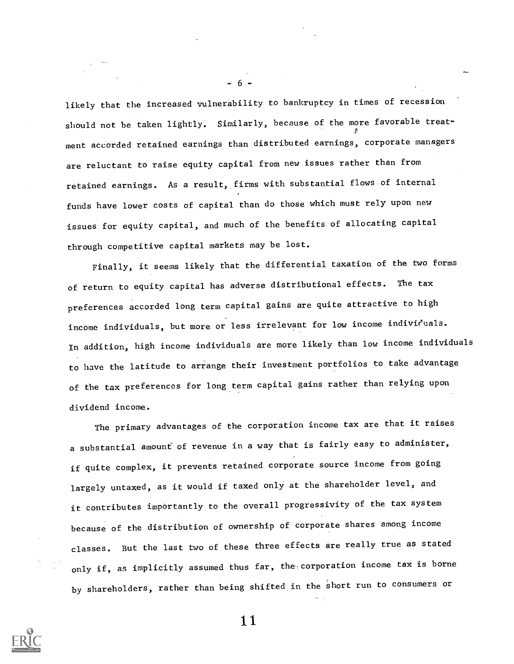likely that the increased vulnerability to bankruptcy in times of recession should not be taken lightly. Similarly, because of the more favorable treatment accorded retained earnings than distributed earnings, corporate managers are reluctant to raise equity capital from new issues rather than from retained earnings. As a result, firms with substantial flows of internal funds have lower costs of capital than do those which must rely upon new issues for equity capital, and much of the benefits of allocating capital through competitive capital markets may be lost.

- 6 -

Finally, it seems likely that the differential taxation of the two forms of return to equity capital has adverse distributional effects. The tax preferences accorded long term capital gains are quite attractive to high income individuals, but more or less irrelevant for low income individuals. In addition, high income individuals are more likely than low income individuals to have the latitude to arrange their investment portfolios to take advantage of the tax preferences for long term capital gains rather than relying upon dividend income.

The primary advantages of the corporation income tax are that it raises a substantial amount of revenue in a way that is fairly easy to administer, if quite complex, it prevents retained corporate source income from going largely untaxed, as it would if taxed only at the shareholder level, and it contributes importantly to the overall progressivity of the tax system because of the distribution of ownership of corporate shares among income classes. But the last two of these three effects are really true as stated only if, as implicitly assumed thus far, the corporation income tax is borne by shareholders, rather than being shifted in the short run to consumers or

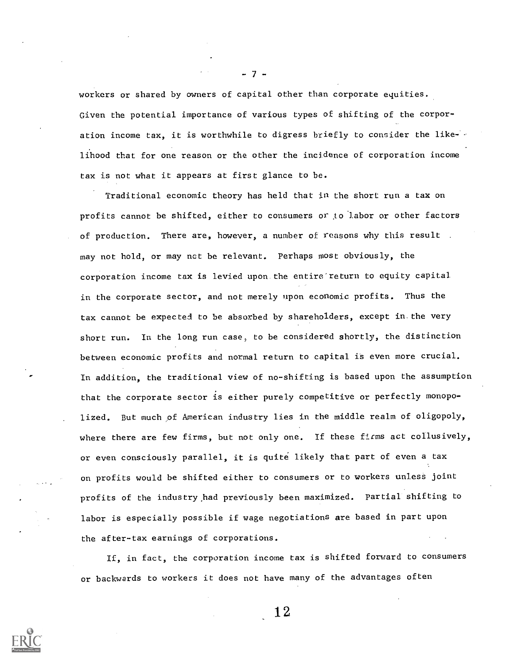workers or shared by owners of capital other than corporate equities. Given the potential importance of various types of shifting of the corporation income tax, it is worthwhile to digress briefly to consider the like-' lihood that for one reason or the other the incidence of corporation income tax is not what it appears at first glance to be.

- 7 -

Traditional economic theory has held that in the short run a tax on profits cannot be shifted, either to consumers or to 'labor or other factors of production. There are, however, a number of reasons why this result . may not hold, or may nct be relevant. Perhaps most obviously, the corporation income tax is levied upon the entire'return to equity capital in the corporate sector, and not merely upon economic profits. Thus the tax cannot be expected to be absorbed by shareholders, except in.the very short run. In the long run case, to be considered shortly, the distinction between economic profits and normal return to capital is even more crucial. In addition, the traditional view of no-shifting is based upon the assumption that the corporate sector is either purely competitive or perfectly monopolized. But much of American industry lies in the middle realm of oligopoly, where there are few firms, but not only one. If these firms act collusively, or even consciously parallel, it is quite likely that part of even a tax on profits would be shifted either to consumers or to workers unless joint profits of the industry,had previously been maximized, partial shifting to labor is especially possible if wage negotiations are based in part upon the after-tax earnings of corporations.

If, in fact, the corporation income tax is shifted forward to consumers or backwards to workers it does not have many of the advantages often

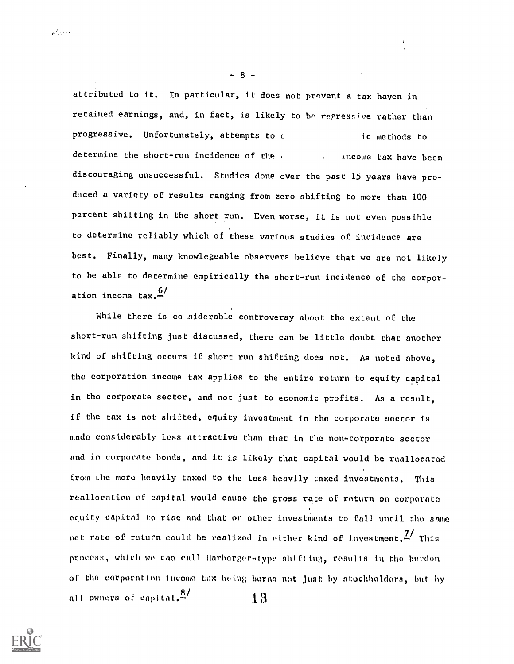attributed to it. In particular, it does not prevent a tax haven in retained earnings, and, in fact, is likely to be regressive rather than progressive. Unfortunately, attempts to e ic methods to determine the short-run incidence of the second surface tax have been discouraging unsuccessful. Studies done over the past 15 years have produced a variety of results ranging from zero shifting to more than 100 percent shifting in the short run. Even worse, it is not even possible to determine reliably which of these various studies of incidence are best. Finally, many knowlegeable observers believe that we are not likely to be able to determine empirically the short-run incidence of the corporation income  $\text{tax.} \frac{6}{4}$ 

While there is co siderable controversy about the extent of the short-run shifting just discussed, there can be little doubt that another kind of shifting occurs if short run shifting does not. As noted above, the corporation income tax applies to the entire return to equity capital in the corporate sector, and not just to economic profits. As a result, if the tax is not shifted, equity investment in the corporate sector is mnde considerably less attractive than that in the non-corporate sector and in corporate bonds, and it is likely that capital would be reallocated from the more heavily taxed to the less heavily taxed investments. This reallocation of capital would cause the gross rqte of return on corporate equity capitol to rise and that on other investments to fall until the same not rate of return could be realized in either kind of investment.<sup>7/</sup> This process, which we can call flarberger-type shifting, results in the burden or the corporation income tax being borne not just by stockholders, hut hy all owners of capital. $^{8/3}$  13



 $\mathcal{L}_{\text{max}}^{(2)}$  ,  $\sim$ 

 $-8 -$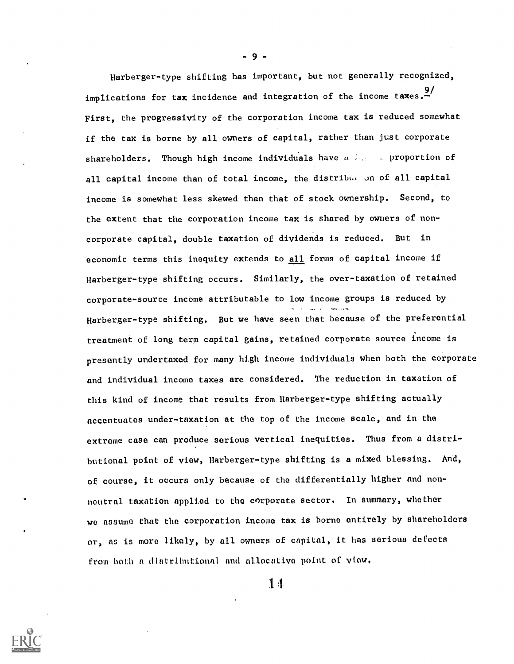Harberger-type shifting has important, but not generally recognized, implications for tax incidence and integration of the income taxes. $\frac{9}{2}$ First, the progressivity of the corporation income tax is reduced somewhat if the tax is borne by all owners of capital, rather than just corporate shareholders. Though high income individuals have  $u > u$  proportion of all capital income than of total income, the distribut on of all capital income is somewhat less skewed than that of stock ownership. Second, to the extent that the corporation income tax is shared by owners of noncorporate capital, double taxation of dividends is reduced. But in economic terms this inequity extends to all forms of capital income if Harberger-type shifting occurs. Similarly, the over-taxation of retained corporate-source income attributable to low income groups is reduced by Harberger-type shifting. But we have seen that because of the preferential treatment of long term capital gains, retained corporate source income is presently undertaxed for many high income individuals when both the corporate and individual income taxes are considered. The reduction in taxation of this kind of income that results from Harberger-type shifting actually accentuates under-taxation at the top of the income scale, and in the extreme case can produce serious vertical inequities. Thus from a distributional point of view, Harberger-type shifting is a mixed blessing. And, of course, it occurs only because of the differentially higher and nonneutral taxation applied to the corporate sector. In summary, whether we assume that the corporation income tax is borne entirely by shareholders or, as is more likely, by all owners of capital, it has serioua defects from both a distributional and allocative point of view.

1 1

 $-9 -$ 

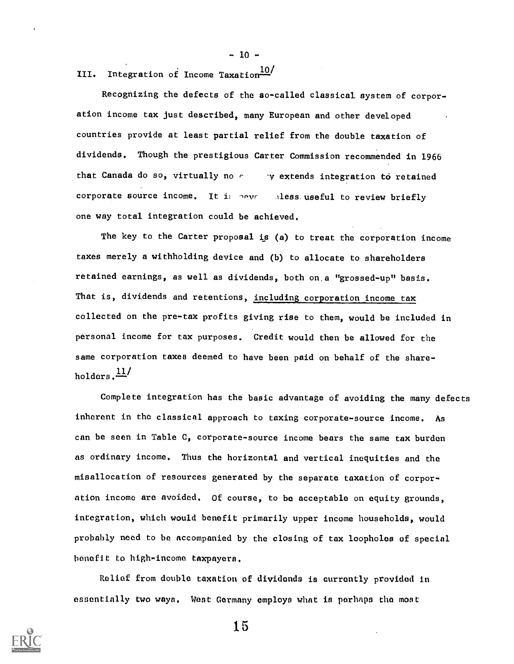$-10-$ 

III. Integration of Income Taxation $\frac{10}{1}$ 

Recognizing the defects of the so-called classical system of corporation income tax just described, many European and other developed countries provide at least partial relief from the double taxation of dividends. Though the prestigious Carter Commission recommended in 1966 that Canada do so, virtually no  $r = y$  extends integration to retained corporate source income. It is nevel aless useful to review briefly one way total integration could be achieved.

The key to the Carter proposal is (a) to treat the corporation income taxes merely a withholding device and (b) to allocate to shareholders retained earnings, as well as dividends, both on,a "grossed-up" basis. That is, dividends and retentions, including corporation income tax collected on the pre-tax profits giving rise to them, would be included in personal income for tax purposes. Credit would then be allowed for the same corporation taxes deemed to have been paid on behalf of the shareholders. $\frac{11}{1}$ 

Complete integration has the basic advantage of avoiding the many defects inherent in the classical approach to taxing corporate-source income. As can be seen in Table C, corporate-source income bears the same tax burden as ordinary income. Thus the horizontal and vertical inequities and the misallocation of resources generated by the separate taxation of corporation income are avoided. Of course, to be acceptable on equity grounds, integration, which would benefit primarily upper income households, would probably need to be accompanied by the closing of tax loopholes of special benefit to high-income taxpayers.

Relief from double taxation of dividends is currently provided in essentially two ways. West Germany employs what is perhaps the most

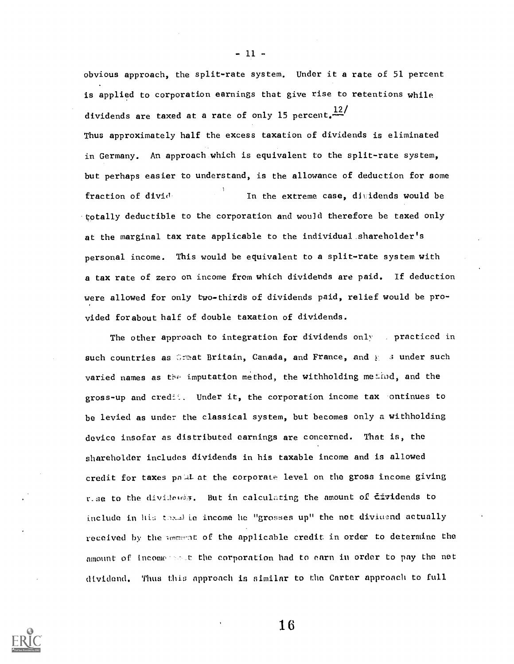obvious approach, the split-rate system. Under it a rate of 51 percent is applied to corporation earnings that give rise to retentions while dividends are taxed at a rate of only 15 percent. $\frac{12}{12}$ 

Thus approximately half the excess taxation of dividends is eliminated in Germany. An approach which is equivalent to the split-rate system, but perhaps easier to understand, is the allowance of deduction for some fraction of divid' In the extreme case, dividends would be 'totally deductible to the corporation and wou]d therefore be taxed only at the marginal tax rate applicable to the individual shareholder's personal income. This would be equivalent to a split-rate system with a tax rate of zero on income from which dividends are paid. If deduction were allowed for only two-thirds of dividends paid, relief would be provided forabout half of double taxation of dividends.

The other approach to integration for dividends only , practiced in such countries as Great Britain, Canada, and France, and  $E = 3$  under such varied names as the imputation method, the withholding method, and the gross-up and credit. Under it, the corporation income tax ontinues to be levied as under the classical system, but becomes only a withholding device insofar as distributed earnings are concerned. That is, the shareholder includes dividends in his taxable income and is allowed credit for taxes poul at the corporate level on the gross income giving r.se to the dividences. But in calculating the amount of Eividends to include in his thank is income he "grosses up" the net dividend actually received by the amerian of the applicable credit in order to determine the amount of incomersolt the corporation had to earn in order to pay the net dividend. Thus thia approach is similar to thn Carter approach to full



 $-11 -$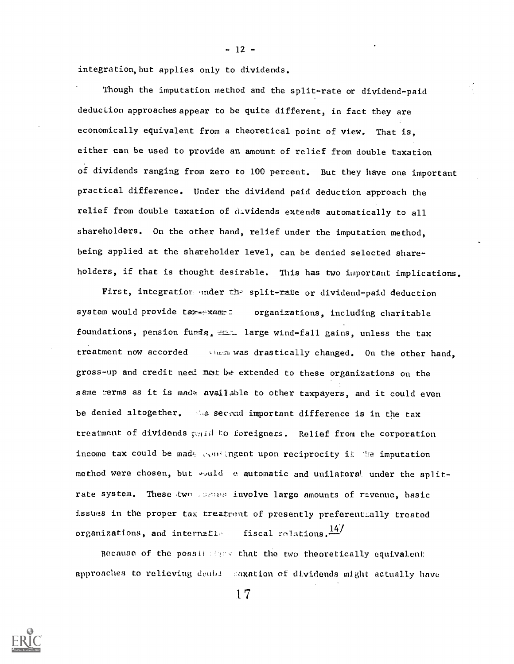integration,but applies only to dividends.

Though the imputation method and the split-rate or dividend-paid deduclion approaches appear to be quite different, in fact they are economically equivalent from a theoretical point of view. That is, either can be used to provide an amount of relief from double taxation of dividends ranging from zero to 100 percent. But they have one important practical difference. Under the dividend paid deduction approach the relief from double taxation of dividends extends automatically to all shareholders. On the other hand, relief under the imputation method, being applied at the shareholder level, can be denied selected shareholders, if that is thought desirable. This has two important implications.

First, integration under the split-rate or dividend-paid deduction system would provide tar exempt: organizations, including charitable foundations, pension funds,  $\equiv$  large wind-fall gains, unless the tax treatment now accorded was drastically changed. On the other hand, gross-up and credit neel not be extended to these organizations on the same cerms as it is made available to other taxpayers, and it could even be denied altogether. de secend important difference is in the tax treatment of dividends  $\epsilon_{\text{W}}$ id to foreigners. Relief from the corporation income tax could be made consingent upon reciprocity if the imputation method were chosen, but would e automatic and unilateral under the splitrate system. These two comes involve large amounts of revenue, basic issues in the proper tax treatment of presently preferentially treated organizations, and internations fiscal relations.  $\frac{14}{14}$ 

Because of the possil that that the two theoretically equivalent approaches to relieving doubi. :axation of dividends might actually hnve

1 7

 $- 12 -$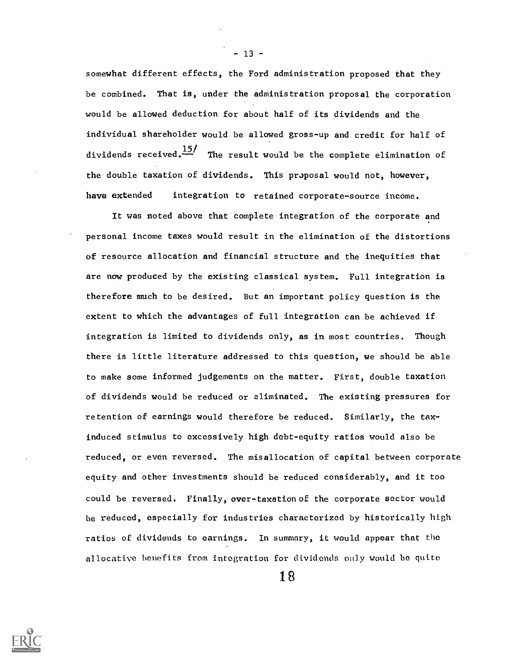somewhat different effects, the Ford administration proposed that they be combined. That is, under the administration proposal the corporation would be allowed deduction for about half of its dividends and the individual shareholder would be allowed gross-up and credit for half of dividends received. $\frac{15}{10}$  The result would be the complete elimination of the double taxation of dividends. This proposal would not, however, have extended integration to retained corporate-source income.

It was noted above that complete integration of the corporate and personal income taxes would result in the elimination of the distortions of resource allocation and financial structure and the inequities that are now produced by the existing classical system. Full integration is therefore much to be desired. But an important policy question is the extent to which the advantages of full integration can.be achieved if integration is limited to dividends only, as in most countries. Though there is little literature addressed to this question, we should be able to make some informed judgements on the matter. First, double taxation of dividends would be reduced or eliminated. The existing pressures for retention of earnings would therefore be reduced. Similarly, the taxinduced stimulus to excessively high debt-equity ratios would also be reduced, or even reversed. The misallocation of capital between corporate equity and other investments should be reduced considerably, and it too could be reversed. Finally, over-taxationof the corporate sector would be reduced, especially for industries characterized by historically high ratios of dividends to earnings. In summary, it would appear that the allocative benefits from integration for dividends only would be quite

 $-13 -$ 

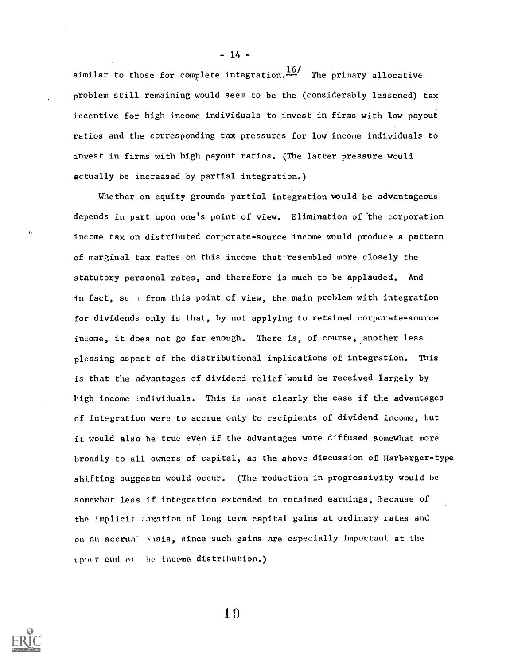similar to those for complete integration. $\frac{16}{1}$  The primary allocative problem still remaining would seem to be the (considerably lessened) tax incentive for high income individuals to invest in firms with low payout ratios and the corresponding tax pressures for low income individuals to invest in firms with high payout ratios. (The latter pressure would actually be increased by partial integration.)

Whether on equity grounds partial integration would be advantageous depends in part upon one's point of view. Elimination of 'the corporation income tax on distributed corporate-source income would produce a pattern of marginal tax rates on this income that-resembled more closely the statutory personal rates, and therefore is much to be applauded. And in fact, se  $\rightarrow$  from this point of view, the main problem with integration for dividends only is that, by not applying to retained corporate-source income, it does not go far enough. There is, of course, another less pleasing aspect of the distributional implications of integration. This is that the advantages of dividend relief'would be received largely by high income individuals. This is most clearly the case if the advantages of integration were to accrue only to recipients of dividend income, but it would also be true even if the advantages were diffused somewhat more broadly to all owners of capital, as the above discussion of Harberger-type shifting suggests would occur. (The reduction in progressivity would be somewhat less if integration extended to retained earnings, because of the implicit taxation of long term capital gains at ordinary rates and on an accrual basis, since such gains are especially important at the upper end of the income distribution.)

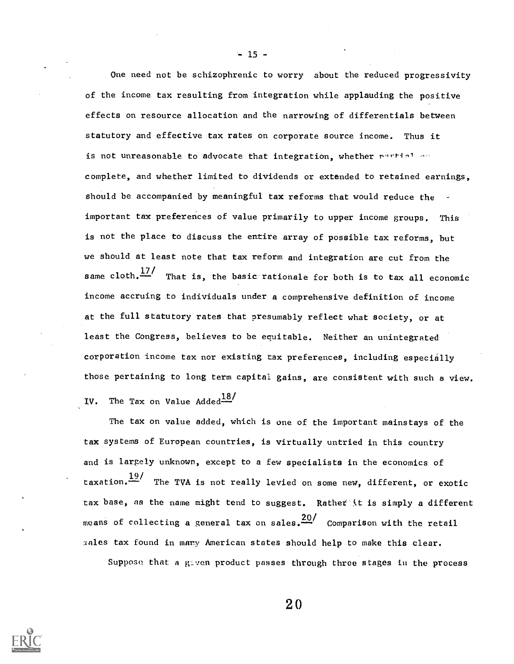One need not be schizophrenic to worry about the reduced progressivity of the income tax resulting from integration while applauding the positive effects on resource allocation and the narrowing of differentials between statutory and effective tax rates on corporate source income. Thus it is not unreasonable to advocate that integration, whether purtinl or complete, and whether limited to dividends or extended to retained earnings, should be accompanied by meaningful tax reforms that would reduce the important tax preferences of value primarily to upper income groups. This is not the place to discuss the entire array of possible tax reforms, but we should at least note that tax reform and integration are cut from the same cloth. $\frac{17}{12}$  That is, the basic rationale for both is to tax all economic income accruing to individuals under a comprehensive definition of income at the full statutory rates that presumably reflect what society, or at least the Congress, believes to be equitable. Neither an unintegrated corporation income tax nor existing tax preferences, including especially those pertaining to long term capital gains, are consistent with such a view. IV. The Tax on Value Added<sup>18/</sup>

The tax on value added, which is one of the important mainstays of the tax systems of European countries, is virtually untried in this country and is largely unknown, except to a few specialists in the economics of taxation.  $\frac{19}{10}$  The TVA is not really levied on some new, different, or exotic tax base, as the name might tend to suggest. Rather it is simply a different means of collecting a general tax on sales.20/ Comparison with the retail 3nles tax found in mnry American states should help to make this clear.

Suppose that a given product passes through three stages in the process



 $-15 -$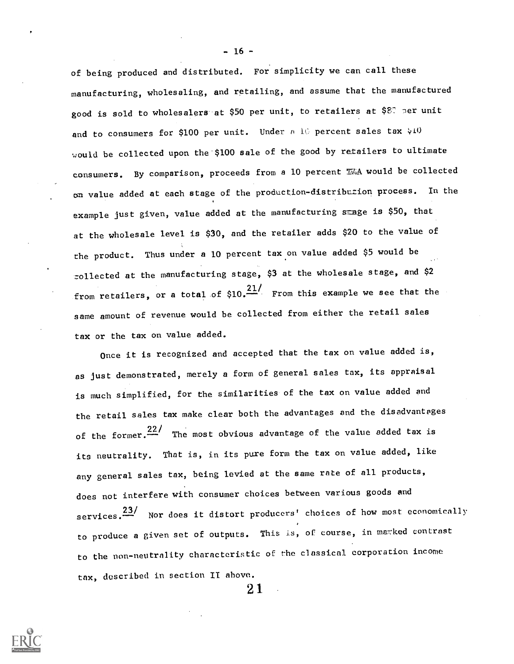of being produced and distributed. For simplicity we can call these manufacturing, wholesaling, and retailing, and assume that the manufactured good is sold to wholesalers at \$50 per unit, to retailers at \$87 per unit and to consumers for \$100 per unit. Under  $n-1$ C percent sales tax  $\forall$ 10 would be collected upon the \$100 sale of the good by retailers to ultimate consumers. By comparison, proceeds from a 10 percent  $\mathbb{W}_d$ A would be collected on value added at each stage of the production-distribution process. In the example just given, value added at the manufacturing  $s$  age is \$50, that at the wholesale level is \$30, and the retailer adds \$20 to the value of the product. Thus under a 10 percent tax.on value added \$5 would be zollected at the manufacturing stage, \$3 at the wholesale stage, and \$2 from retailers, or a total of  $$10.$ <sup>21</sup>/ From this example we see that the same amount of revenue would be collected from either the retail sales tax or the tax on value added.

Once it is recognized and accepted that the tax on value added is, as just demonstrated, merely a form of general sales tax, its appraisal is much simplified, for the similarities of the tax on value added and the retail sales tax make clear both the advantages and the disadvantages of the former. $22/$  The most obvious advantage of the value added tax is its neutrality. That is, in its pure form the tax on value added, like any general sales tax, being levied at the same rate of all products, does not interfere with consumer choices between various goods and services.<sup>23/</sup> Nor does it distort producers' choices of how most economically to produce a given set of outputs. This is, of course, in marked contrast to the non-neutrality characteristic of the classical corporation income tax, described in section IT above.

2 1



 $-16 -$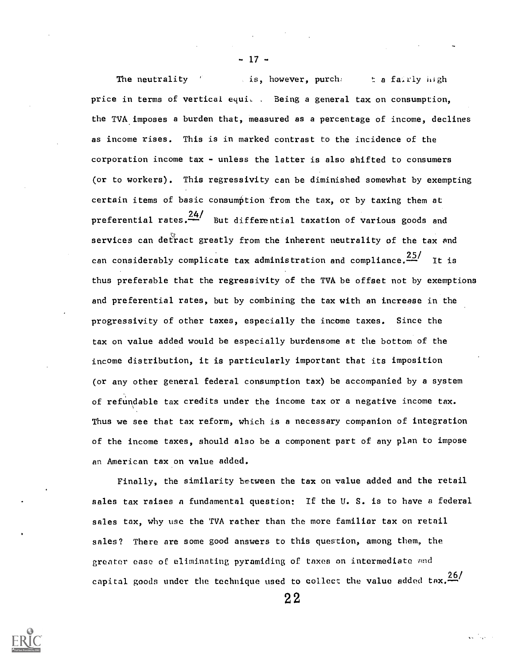The neutrality " is, however, purchet the fairly high price in terms of vertical equic . Being a general tax on consumption, the TVA.imposes a burden that, measured as a percentage of income, declines as income rises. This is in marked contrast to the incidence of the corporation income tax  $-$  unless the latter is also shifted to consumers (or to workers). This regressivity can be diminished somewhat by exempting certain items of basic consumption from the tax, or by taxing them at preferential rates. $\frac{247}{100}$  But differential taxation of various goods and services can detract greatly from the inherent neutrality of the tax and can considerably complicate tax administration and compliance. $\frac{25}{1}$  It is thus preferable that the regressivity of the TVA be offset not by exemptions and preferential rates, but by combining the tax with an increase in the progressivity of other taxes, especially the income taxes. Since the tax on value added would be especially burdensome at the bottom of the income distribution, it is particularly important that its imposition (or any other general federal consumption tax) be accompanied by a system of refundable tax credits under the income tax or a negative income tax. Thus we see that tax reform, which is a necessary companion of integration of the income taxes, should also be a component part of any plan to impose an American tax on value added.

- 17-

Finally, the similarity between the tax on value added and the retail sales tax raises n fundamental question: If the U. S. is to have a federal sales tax, why use the TVA rather than the more familiar tax on retail sales? There are some good answers to this question, among them, the greater ease of eliminating pyramiding of taxes on intermediate and capital goods under the technique used to collect the value added  $\text{tax.} \frac{26}{4}$ 

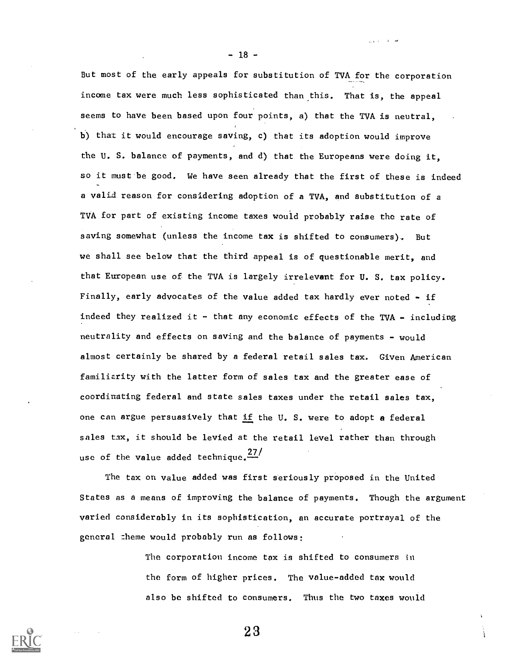But most of the early appeals for substitution of TVA for the corporation income tax were much less sophisticated than this. That is, the appeal seems to have been based upon four points, a) that the TVA is neutral, b) that it would encourage saving, c) that its adoption would improve the U. S. balance of payments, and d) that the Europeans were doing it, so it must be good. We have seen already that the first of these is indeed a valid reason for considering adoption of a TVA, and substitution of a TVA for part of existing income taxes would probably raise the rate of saving somewhat (unless the income tax is shifted to consumers). But we shall see below that the third appeal is of questionable merit, and that European use of the TVA is largely irrelevant for U. S. tax policy. Finally, early advocates of the value added tax hardly ever noted - if indeed they realized it  $-$  that any economic effects of the TVA  $-$  including neutrality and effects on saving and the balance of payments - would almost certainly be shared by a federal retail sales tax. Given American familiarity with the latter form of sales tax and the greater ease of coordinating federal and state sales taxes under the retail sales tax, one can argue persuasively that if the U. S. were to adopt a federal sales tax, it should be levied at the retail level rather than through use of the value added technique. $\frac{27}{1}$ 

The tax on value added was first seriously proposed in the United States as a means of improving the balance of payments. Though the argument varied considerably in its sophistication, an accurate portrayal of the general theme would probably run as follows:

> The corporation income tax is shifted to consumers in the form of higher prices. The value-added tax would also be shifted to consumers. Thus the two taxes would

> > 2 3



 $-18 -$ 

سائل الأرادي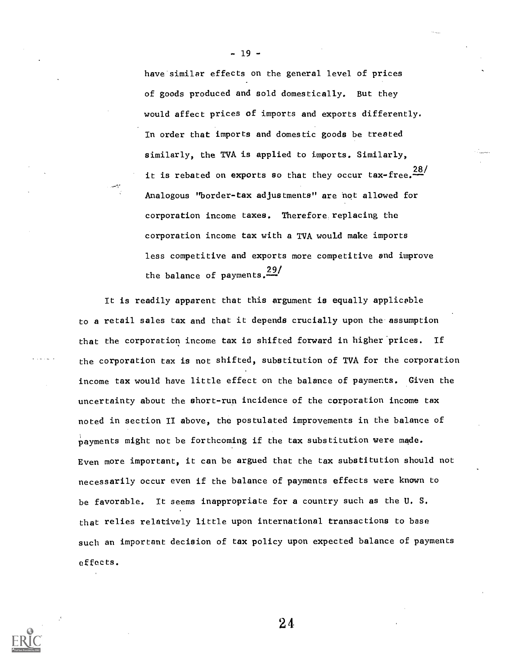have similar effects on the general level of prices of goods produced and sold domestically. But they would affect prices of imports and exports differently. In order that imports and domestic goods be treated similarly, the TVA is applied to imports. Similarly, it is rebated on exports so that they occur tax-free.  $\frac{28}{1}$ Analogous "border-tax adjustments" are hot allowed for corporation income taxes. Therefore replacing the corporation income tax with a TVA would make imports less competitive and exports more competitive and improve the balance of payments.<sup>29/</sup>

 $-19 -$ 

It is readily apparent that this argument is equally applicable to a retail sales tax and that it depends crucially upon the assumption that the corporation income tax is shifted forward in higher'prices. If the corporation tax is not shifted, substitution of TVA for the corporation income tax would have little effect on the balance of payments. Given the uncertainty about the short-run incidence of the corporation income tax noted in section II above, the postulated improvements in the balance of payments might not be forthcoming if the tax substitution were made. Even more important, it can be argued that the tax substitution should not necessarily occur even if the balance of payments effects were known to be favorable. It seems inappropriate for a country such as the U. S. that relies relatively little upon international transactions to base such an important decision of tax policy upon expected balance of payments effects.

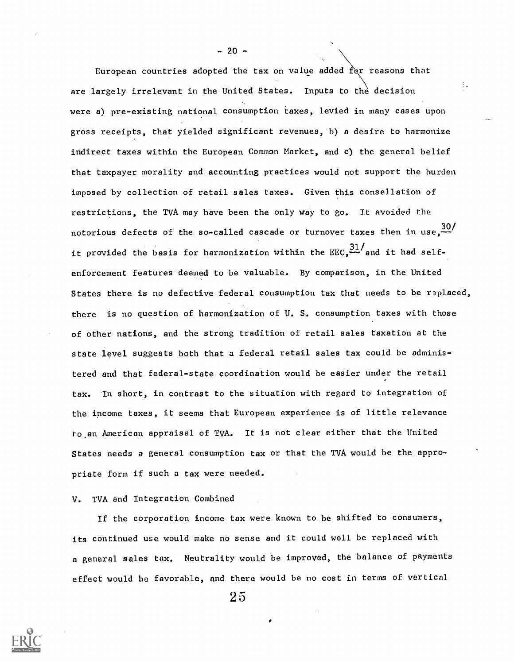European countries adopted the tax on value added  $\hat{f}$ or reasons that are largely irrelevant in the United States. Inputs to the decision were a) pre-existing national consumption taxes, levied in many cases upon gross receipts, that yielded significant revenues, b) a desire to harmonize indirect taxes within the European Common Market, and c) the general belief that taxpayer morality and accounting practices would not support the burden imposed by collection of retail sales taxes. Given this consellation of restrictions, the TVA may have been the only way to go. It avoided the notorious defects of the so-called cascade or turnover taxes then in use,  $\frac{30}{1}$ it provided the basis for harmonization within the  $\texttt{EEC}_1\frac{31}{4}$  and it had selfenforcement features deemed to be valuable. By comparison, in the United States there is no defective federal consumption tax that needs to be replaced, there is no question of harmonization of U. S. consumption taxes with those of other nations, and the strong tradition of retail sales taxation at the state level suggests both that a federal retail sales tax could be administered and that federal-state coordination would be easier under the retail tax. In short, in contrast to the situation with regard to integration of the income taxes, it seems that European experience is of little relevance to.an American appraisal of TVA. It is not clear either that the United States needs a general consumption tax or that the TVA would be the appropriate form if such a tax were needed.

# V. TVA and Integration Combined

If the corporation income tax were known to be shifted to consumers, its continued use would make no sense and it could well be replaced with a general seles tax. Neutrality would be improved, the balance of payments effect would be favorable, and there would be no cost in terms of vertical

2 5

 $-20 -$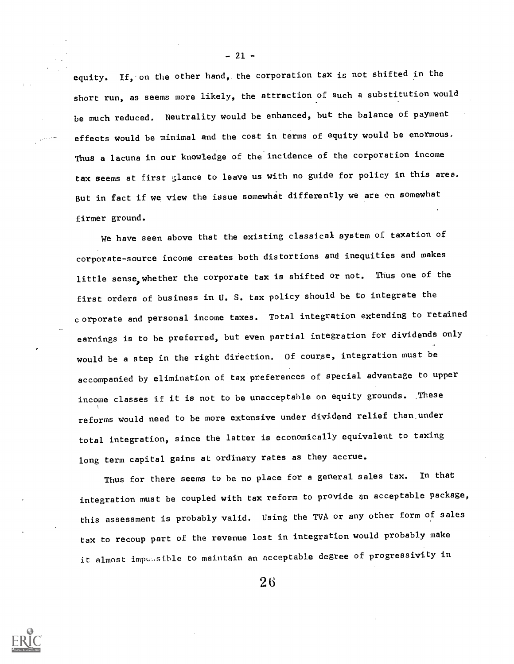equity. If, on the other hand, the corporation tax is not shifted in the short run, as seems more likely, the attraction of such a substitution would be much reduced. Neutrality would be enhanced, but the balance of payment effects would be minimal and the cost in terms of equity would be enormous. Thus a lacuna in our knowledge of the incidence of the corporation income tax seems at first glance to leave us with no guide for policy in this area. But in fact if we view the issue somewhat differently we are on somewhat firmer ground.

We have seen above that the existing classical system of taxation of corporate-source income creates both distortions and inequities and makes little sense, whether the corporate tax is shifted or not. Thus one of the first orders of business in U. S. tax policy should be to integrate the corporate and personal income taxes. Total integration extending to retained earnings is to be preferred, but even partial integration for dividends only would be a step in the right direction. Of course, integration must be accompanied by elimination of tax'preferences of special advantage to upper income classes if it is not to be unacceptable on equity grounds. ,These reforms would need to be more extensive under dividend relief than,under total integration, since the latter is economically equivalent to taxing long term capital gains at ordinary rates as they accrue.

Thus for there seems to be no place for a general sales tax. In that integration must be coupled with tax reform to provide an acceptable package, this assessment is probably valid. Using the TVA or any other form of sales tax to recoup part of the revenue lost in integration would probably make it almost impusible to maintain an acceptable degree of progressivity in



 $-21 -$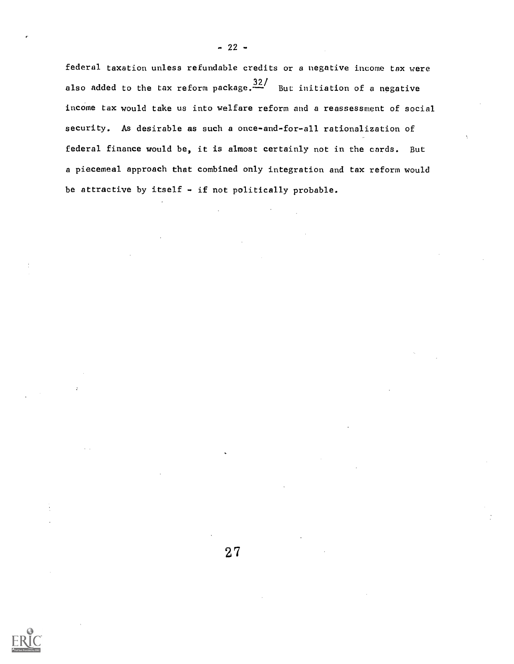federal taxation unless refundable credits or a negative income tax were also added to the tax reform package. $\frac{32}{ }$  But initiation of a negative income tax would take us into welfare reform and a reassessment of social security. As desirable as such a once-and-for-all rationalization of federal finance would be, it is almost certainly not in the cards. But a piecemeal approach that combined only integration and tax reform would be attractive by itself  $-$  if not politically probable.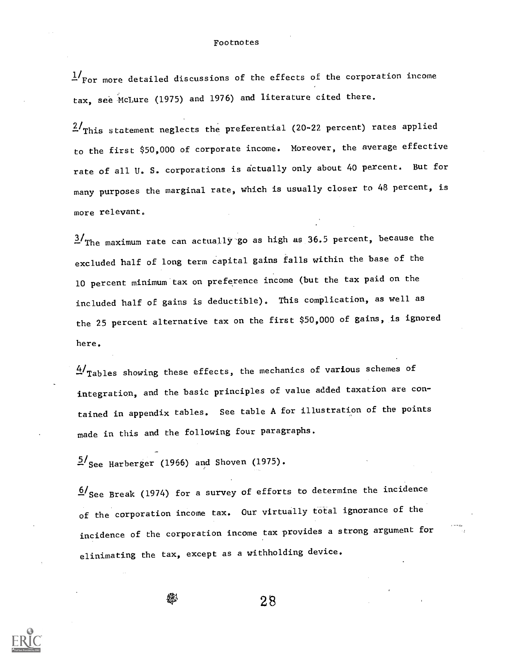## **Footnotes**

 $1/r_{\rm For}$  more detailed discussions of the effects of the corporation income tax, see McLure (1975) and 1976) and literature cited there.

 $2/\text{This statement neglects the preferential}$  (20-22 percent) rates applied to the first \$50,000 of corporate income. Moreover, the average effective rate of all U. S. corporations is dctually only about 40 percent. But for many purposes the marginal rate, which is usually closer to 48 percent, is more relevant.

 $3/\text{The maximum rate can actually go as high as 36.5 percent, because the$ excluded half of long term capital gains falls within the base of the 10 percent minimum tax on preference income (but the tax paid on the included half of gains is deductible). This complication, as well as the 25 percent alternative tax on the first \$50,000 of gains, is ignored here.

4/Tables showing these effects, the mechanics of various schemes of integration, and the basic principles of value added taxation are contained in appendix tables. See table A for illustration of the points made in this and the following four paragraphs.

 $5/\text{See}$  Harberger (1966) and Shoven (1975).

 $6/$ See Break (1974) for a survey of efforts to determine the incidence of the corporation income tax. Our virtually total ignorance of the incidence of the corporation income tax provides a strong argument for elinimating the tax, except as a withholding device.

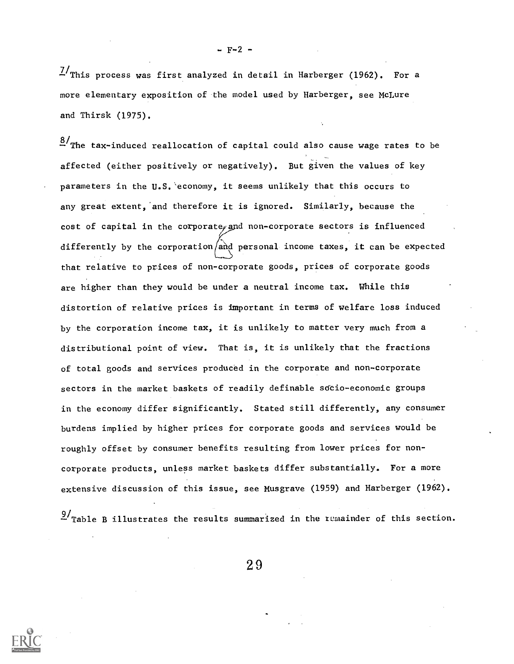$\frac{7}{10}$ This process was first analyzed in detail in Harberger (1962). For a

 $- F - 2 -$ 

more elementary exposition of the model used by Harberger, see McLure and Thirsk (1975).

 $\frac{8}{1}$ The tax-induced reallocation of capital could also cause wage rates to be affected (either positively or negatively). But given the values of key parameters in the U.S.'economy, it seems unlikely that this occurs to any great extent, and therefore it is ignored. Similarly, because the cost of capital in the corporate and non-corporate sectors is influenced differently by the corporation/and personal income taxes, it can be expected that relative to prices of non-corporate goods, prices of corporate goods are higher than they would be under a neutral income tax. While this distortion of relative prices is important in terms of welfare loss induced by the corporation income tax, it is unlikely to matter very much from a distributional point of view. That is, it is unlikely that the fractions of total goods and services produced in the corporate and non-corporate sectors in the market baskets of readily definable sdcio-economic groups in the economy differ significantly. Stated still differently, any consumer burdens implied by higher prices for corporate goods and services would be roughly offset by consumer benefits resulting from lower prices for noncorporate products, unless market baskets differ substantially. For a more extensive discussion of this issue, see Musgrave (1959) and Harberger (1962).

 $\frac{9}{2}$ Table B illustrates the results summarized in the remainder of this section.

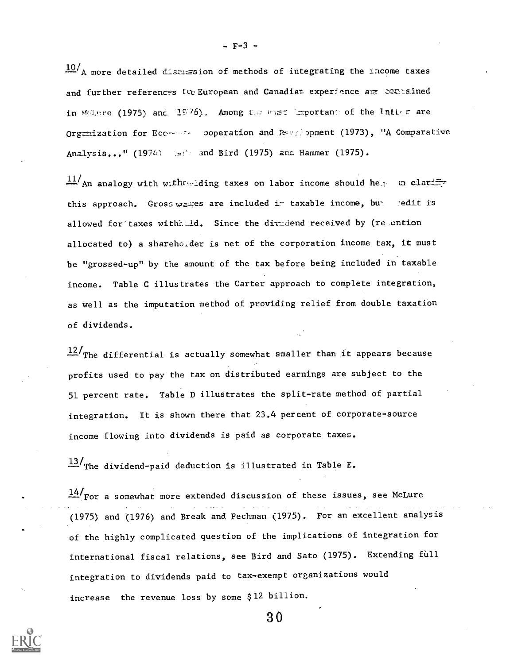$10/$  A more detailed discression of methods of integrating the income taxes and further references to European and Canadiat experience are contained in Malure (1975) and 1976). Among the most important of the latter are Org $\equiv$ ization for Ecc----- ooperation and  $\approx$  opment (1973), "A Comparative Analysis..." (1974) and Bird (1975) and Hammer (1975).

 $\frac{11}{\text{An}}$  analogy with with with ding taxes on labor income should help in clarify this approach. Gross wasses are included in taxable income, but redit is allowed for taxes withhtld. Since the dividend received by (relention allocated to) a sharehorder is net of the corporation income tax, it must be "grossed-up" by the amount of the tax before being included in taxable income. Table C illustrates the Carter approach to complete integration, as well as the imputation method of providing relief from double taxation of dividends.

 $12/$ The differential is actually somewhat smaller than it appears because profits used to pay the tax on distributed earnings are subject to the 51 percent rate. Table D illustrates the split-rate method of partial integration. It is shown there that 23.4 percent of corporate-source income flowing into dividends is paid as corporate taxes.

 $13/$ The dividend-paid deduction is illustrated in Table E.

 $\frac{14}{100}$  For a somewhat more extended discussion of these issues, see McLure (1975) and (1976) and Break and Pechman (1975). For an excellent analysis of the highly complicated question of the implications of integration for international fiscal relations, see Bird and Sato (1975). Extending full integration to dividends paid to tax-exempt organizations would increase the revenue loss by some \$12 billion.

-F-3 -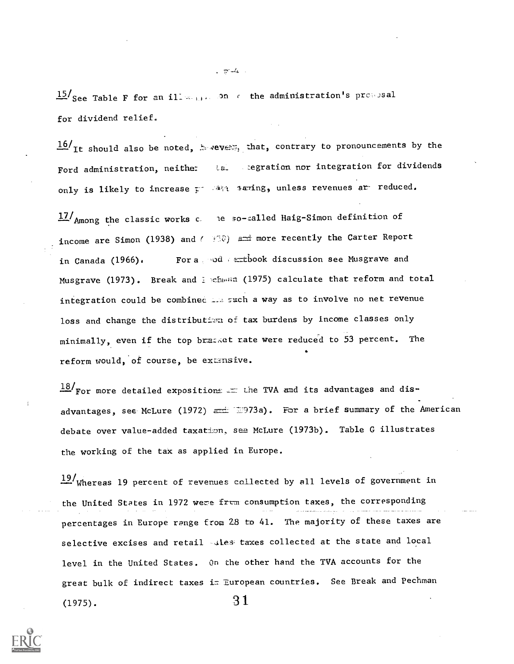$15/\text{See}$  Table F for an illeadministration's present for dividend relief.

 $16/$ It should also be noted,  $2.7$  vever, that, contrary to pronouncements by the Ford administration, neither La. segration nor integration for dividends only is likely to increase  $z^2$  and saring, unless revenues ar- reduced.

17/ Among the classic works c. le so-called Haig-Simon definition of income are Simon (1938) and ( $+50$ ) and more recently the Carter Report in Canada (1966). For a pode  $=$ tbook discussion see Musgrave and Musgrave (1973). Break and Inchman (1975) calculate that reform and total integration could be combined in such a way as to involve no net revenue loss and change the distribution of tax burdens by income classes only minimally, even if the top braz,et rate were reduced to 53 percent. The I. reform would, of course, be extensive.

 $18/$  For more detailed expositions  $\equiv$  the TVA and its advantages and disadvantages, see McLure (1972)  $=$  17973a). For a brief summary of the American debate over value-added taxation, see McLure (1973b). Table G illustrates the working of the tax as applied in Europe.

 $19/$  Whereas 19 percent of revenues collected by all levels of government in the United States in 1972 were frcm consumption taxes, the corresponding percentages in Europe range from 28 to 41. The majority of these taxes are selective excises and retail ales taxes collected at the state and local level in the United States. On the other hand the TVA accounts for the great bulk of indirect taxes im European countries. See Break and Pechman (1975).  $31$ 



. <del>.</del> 4.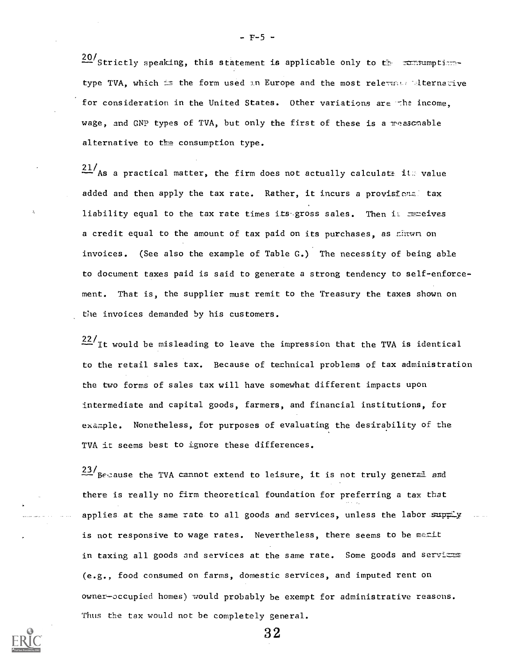$20/\text{Strictly speaking, this statement is applicable only to the remaining time.}$ type TVA, which is the form used in Europe and the most relevance alternative for consideration in the United States. Other variations are the income, wage, and GNP types of TVA, but only the first of these is a reasonable alternative to the consumption type.

 $\frac{21}{\text{As}}$  a practical matter, the firm does not actually calculate it. value added and then apply the tax rate. Rather, it incurs a provisional tax liability equal to the tax rate times its gross sales. Then illust extrest a credit equal to the amount of tax paid on its purchases, as shown on invoices. (See also the example of Table G.) The necessity of being able to document taxes paid is said to generate a strong tendency to self-enforcement. That is, the supplier must remit to the Treasury the taxes shown on the invoices demanded by his customers.

 $22/$ It would be misleading to leave the impression that the TVA is identical to the retail sales tax. Because of technical problems of tax administration the two forms of sales tax will have somewhat different impacts upon intermediate and capital goods, farmers, and financial institutions, for example. Nonetheless, for purposes of evaluating the desirability of the TVA it seems best to ignore these differences.

 $23/$ Because the TVA cannot extend to leisure, it is not truly general and there is really no firm theoretical foundation for preferring a tax tbat applies at the same rate to all goods and services, unless the labor supply is not responsive to wage rates. Nevertheless, there seems to be merit in taxing all goods and services at the same rate. Some goods and servicas (e.g., food consumed on farms, domestic services, and imputed rent on owner-occupied homes) would probably be exempt for administrative reasons. Thus the tax would not be completely general.

3 2



 $- F-5 -$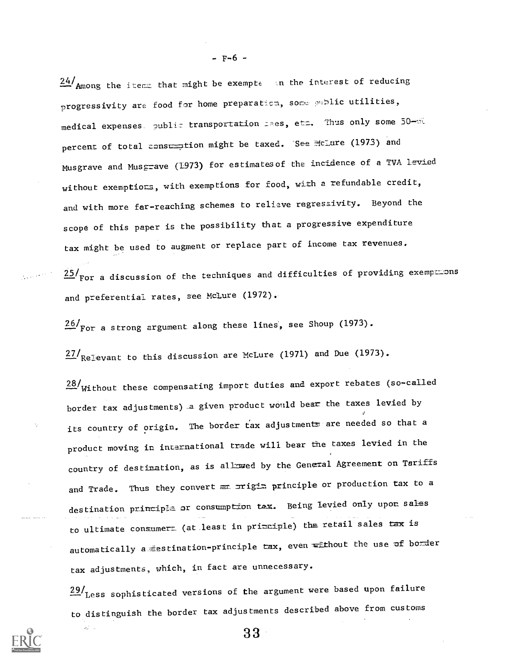$24/$ Among the items that might be exempte in the interest of reducing progressivity are food for home preparation, some public utilities, medical expenses. public transportation Lees, etc. Thus only some 50-30 percent of total consumption might be taxed. See McLure (1973) and Musgrave and Musgrave (1973) for estimates of the incidence of a TVA Levied without exemptions, with exemptions for food, with a refundable credit, and with more far-reaching schemes to relieve regressivity. Beyond the scope of this paper is the possibility that a progressive expenditure tax might be used to augment or replace part of income tax revenues,

 $25/\text{for}$  a discussion of the techniques and difficulties of providing exemp $=$ ons and preferential rates, see McLure (1972).

26/For a strong argument along these lines, see Shoup (1973).

 $27/$ Relevant to this discussion are McLure (1971) and Due (1973).

28/Without these compensating import duties and export rebates (so-called border tax adjustments) a given product would bear the taxes levied by its country of origin. The border tax adjustments are needed so that a product moving in international trade will bear the taxes levied in the country of destination, as is allowed by the General Agreement on Tariffs and Trade. Thus they convert  $\equiv$  principle or production tax to a destination principle or consumption tax. Being levied only upon sales to ultimate consumert (at least in pri $\equiv$ ciple) the retail sales tax is automatically a destination-principle tax, even without the use of border tax adjustments, which, in fact are unnecessary.

 $29/$  Less sophisticated versions of the argument were based upon failure to distinguish the border tax adjustments described above from customs



 $\hat{Q}^{(1)}_{\mu\nu}$  in

 $- F - 6 -$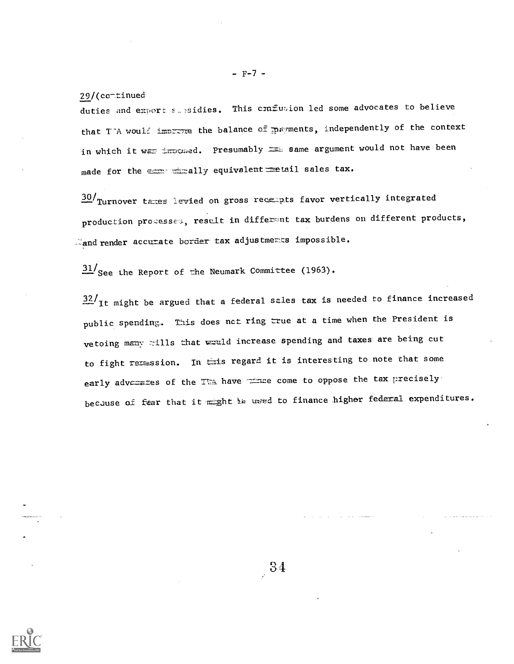29/(co-tinued

duties and export subsidies. This conflusion led some advocates to believe that T-A would improve the balance of payments, independently of the context in which it was imposed. Presumably same argument would not have been made for the essentially equivalent setail sales tax.

30/ Turnover taxes levied on gross recempts favor vertically integrated production processes, result in differant tax burdens on different products,  $\mathbb{Z}_{\text{and render}}$  accurate border tax adjustments impossible.

 $31/\text{See}$  the Report of the Neumark Committee (1963).

 $32/$ It might be argued that a federal sales tax is needed to finance increased public spending. This does nct ring true at a time when the President is vetoing many tills that would increase spending and taxes are being cut to fight reression. In this regard it is interesting to note that some early advezates of the TTA have the come to oppose the tax precisely because of fear that it might is used to finance higher federal expenditures.



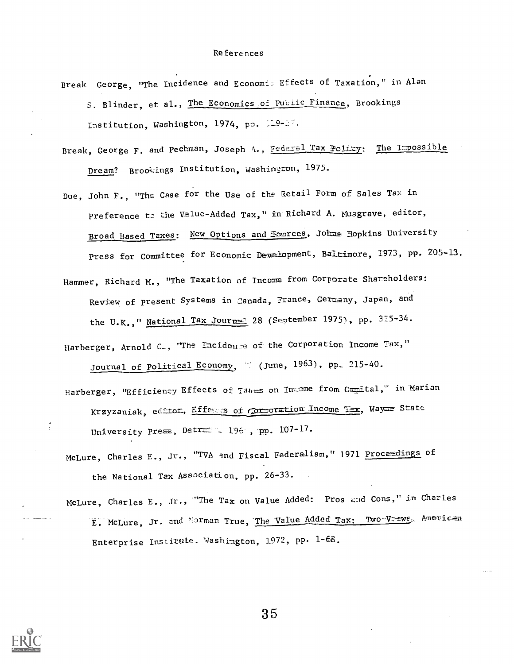- Break George, "The Incidence and Economi: Effects of Taxation," in Alan S. Blinder, et al., The Economics of Public Finance, Brookings Institution, Washington, 1974, pp. 119-17.
- Break, George F. and Pechman, Joseph A., Federal Tax Policy: The Impossible Dream? Brookings Institution, Washington, 1975.
- Due, John F., "The Case for the Use of the Retail Form of Sales Tax in Preference to the Value-Added Tax," in Richard A. Musgrave, editor, Broad Based Taxes: New Options and Exarces, Johns Hopkins University Press for Committee for Economic Deuelopment, Baltimore, 1973, pp. 205-13.
- Hammer, Richard M., "The Taxation of Income from Corporate Shareholders: Review of present Systems in Canada, France, Germany, Japan, and the U.K.," National Tax Journ=1 28 (September 1975), pp. 315-34.
- Harberger, Arnold C., "The Incidence of the Corporation Income Tax," Journal of Political Economy, (June, 1963), pp. 215-40.
- Harberger, "Efficienzy Effects of Takes on In=ome from Camital," in Marian Krzyzaniak, editor, Effess of corporation Income Tax, Wayaa State University Press, Detree 196, pp. 107-17.
- McLure, Charles E., Jr., "TVA and Fiscal Federalism," 1971 Proceedings of the National Tax Association, pp. 26-33.
- McLure, Charles E., Jr., "The Tax on Value Added: Pros and Cons," in Charles E. McLure, Jr. and Norman True, The Value Added Tax: Two V-ews, American Enterprise Institute. Washington, 1972, pp. 1-68.

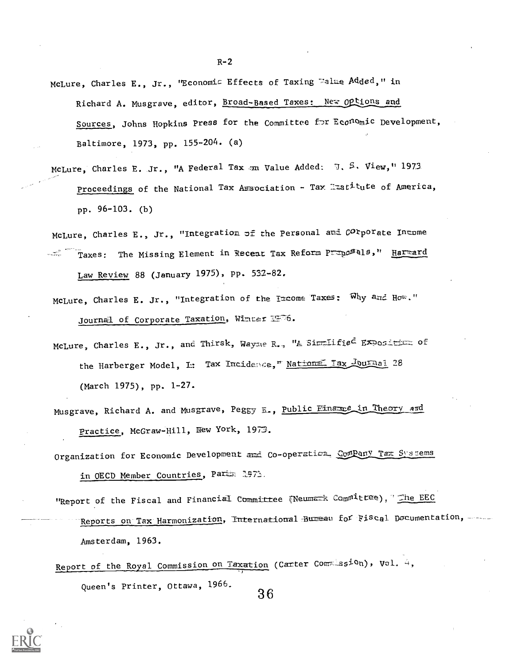- McLure, Charles E., Jr., 'Economis Effects of Taxing Ealue Added," in Richard A. Musgrave, editor, Broad-Based Taxes: New Options and Sources, Johns Hopkins Press for the Committee for Economic Development, Baltimore, 1973, pp. 155-204. (a)
- McLure, Charles E. Jr., "A Federal Tax on Value Added: J. S. View," 1973. Proceedings of the National Tax Association - Tax  $\exists x \in \mathcal{I}$ tute of America, pp. 96-103. (b)

McLure, Charles E., Jr., "Integration of the Personal and Corporate Innome Taxes: The Missing Element in Recent Tax Reform Preposals," Harmard  $\label{eq:2} \frac{1}{2} \sum_{\substack{ \mathbf{q} \in \mathcal{M} \\ \mathbf{q} \in \mathcal{M} \\ \mathbf{q} \in \mathcal{M} \\ \mathbf{q} \in \mathcal{M} \\ \mathbf{q} \in \mathcal{M} \\ \mathbf{q} \in \mathcal{M} \\ \mathbf{q} \in \mathcal{M} \\ \mathbf{q} \in \mathcal{M} \\ \mathbf{q} \in \mathcal{M} \\ \mathbf{q} \in \mathcal{M} \\ \mathbf{q} \in \mathcal{M} \\ \mathbf{q} \in \mathcal{M} \\ \mathbf{q} \in \mathcal{M} \\ \mathbf{$ Law Review 88 (January 1975), PP. 532-82.

- McLure, Charles E. Jr., "Integration of the Income Taxes: Why and How." Journal of Corporate Taxation, Winter 1976.
- McLure, Charles E., Jr., and Thirsk, Wayne R., "A Simmlified Exposition of the Harberger Model, I:: Tax Incidence, Mations Tax Journal 28 (March 1975), pp. 1-27.
- Musgrave, Richard A. and Musgrave, Peggy E., Public Einamce in Theory and Practice, McGraw-Hill, New York, 1973.
- Organization for Economic Development and Co-operaticm. ComPany Tax Systems in OECD Member Countries, Parts: 1971.
- "Report of the Fiscal and Financial Committee (Neumark Committee), I The EEC Reports on Tax Harmonization, International Bureau for Fiscal Documentation, Amsterdam, 1963.
- Report of the Royal Commission on Taxation (Carter Commission), Vol. 4, Queen's Printer, Ottawa, 1966. 3 6



 $R-2$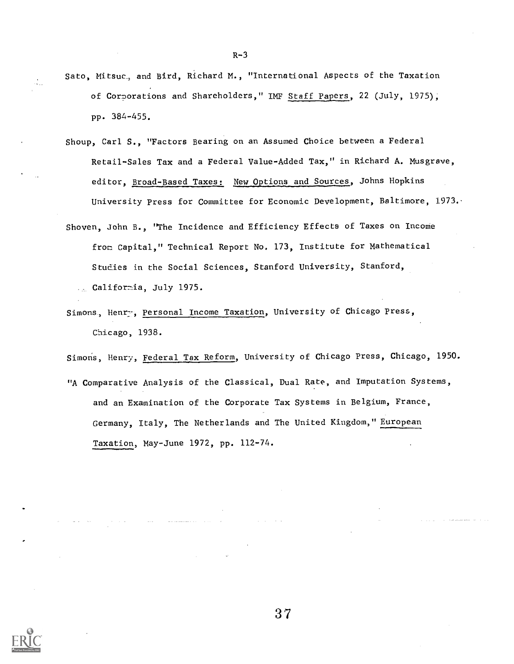- Sato, Mitsuc, and Bird, Richard M., "International Aspects of the Taxation of Corporations and Shareholders," IMF Staff Papers, 22 (July, 1975); pp. 384-455.
- Shoup, Carl S., "Factors Bearing on an Assumed Choice between a Federal Retail-Sales Tax and a Federal Value-Added Tax," in Richard A. Musgrave, editor, Broad-Based Taxes: New Options and Sources, Johns Hopkins University press for Committee for Economic Development, Baltimore, 1973..
- Shoven, John B., "The Incidence and Efficiency Effects of Taxes on Income from Capital," Technical Report No. 173, Institute for Mathematical Studies in the Social Sciences, Stanford University, Stanford, ... California, July 1975.
- Simons, Henry, Personal Income Taxation, University of Chicago Press, Chicago, 1938.

Simons, Henry, Federal Tax Reform, University of Chicago Press, Chicago, 1950.

"A Comparative Analysis of the Classical, Dual Rate, and Imputation Systems, and an Examination of the Corporate Tax Systems in Belgium, France, Germany, Italy, The Netherlands and The United Kingdom," European Taxation, May-June 1972, pp. 112-74.

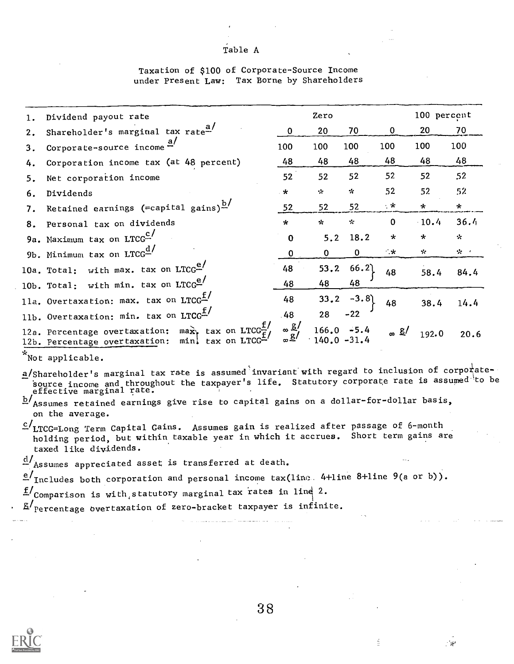# Table A

# Taxation of \$100 of Corporate-Source Income under Present Law: Tax Borne by Shareholders

|    | Dividend payout rate                                                                                                                                                                                                                                                                                                                   |                    | Zero         |                |              | 100 percent |         |
|----|----------------------------------------------------------------------------------------------------------------------------------------------------------------------------------------------------------------------------------------------------------------------------------------------------------------------------------------|--------------------|--------------|----------------|--------------|-------------|---------|
| 2. | Shareholder's marginal tax rate <sup>a/</sup>                                                                                                                                                                                                                                                                                          | $\mathbf 0$        | 20           | 70             | $\mathbf{0}$ | 20          | 70      |
| 3. | Corporate-source income $\frac{a}{c}$                                                                                                                                                                                                                                                                                                  | 100                | 100          | 100            | 100          | 100         | 100     |
| 4. | Corporation income tax (at 48 percent)                                                                                                                                                                                                                                                                                                 | 48                 | 48           | 48             | 48           | 48          | 48      |
| 5. | Net corporation income                                                                                                                                                                                                                                                                                                                 | 52                 | 52           | 52             | 52           | 52          | 52      |
| 6. | Dividends                                                                                                                                                                                                                                                                                                                              | $\star$            | ٠.           | $\mathcal{R}$  | 52           | 52          | 52      |
| 7. | Retained earnings (=capital gains) <sup>b/</sup>                                                                                                                                                                                                                                                                                       | 52                 | 52           | 52             | ・*           | $\star$     | $\star$ |
|    | 8. Personal tax on dividends                                                                                                                                                                                                                                                                                                           | $\star$            | $\star$      | $\mathbf{x}$   | $\mathbf 0$  | $-10.4$     | 36.4    |
|    | 9a. Maximum tax on LTCG <sup>C</sup>                                                                                                                                                                                                                                                                                                   | $\mathbf 0$        | 5.2          | 18.2           | $\star$      | $\star$     | ☆       |
|    | 9b. Minimum tax on $LTCG^{\underline{d}}$                                                                                                                                                                                                                                                                                              | $\mathbf{0}$       | $\mathbf{0}$ | $\mathbf 0$    | 一米           | $\sim$      | ·六二     |
|    | 10a. Total: with max. tax on $LTCG^{e'}$                                                                                                                                                                                                                                                                                               | 48                 | 53, 2        | 66.2           | 48           | 58.4        | 84.4    |
|    | 10b. Total: with min. tax on $LTCG^{e'}$                                                                                                                                                                                                                                                                                               | 48                 | 48           | 48             |              |             |         |
|    | 11a. Overtaxation: max. tax on LTCG <sup>1</sup>                                                                                                                                                                                                                                                                                       | 48                 | 33.2         | $-3.8$         | 48           | 38.4        | 14.4    |
|    | 11b. Overtaxation: min. tax on LTCG <sup>f/</sup>                                                                                                                                                                                                                                                                                      | 48                 | 28           | $-22$          |              |             |         |
|    | 12a. Percentage overtaxation: max, tax on LTCG $^{L}$<br>12b. Percentage overtaxation: min. tax on LTCG"                                                                                                                                                                                                                               | $\infty$ g/<br>∞≗′ | 166.0        | $140.0 - 31.4$ | ∞ ≗/         | 192.0       | 20.6    |
|    | *Not applicable.                                                                                                                                                                                                                                                                                                                       |                    |              |                |              |             |         |
|    | a/Shareholder's marginal tax rate is assumed invariant with regard to inclusion of corporate-<br>source income and throughout the taxpayer's life. Statutory corporate rate is assumed to be<br>effective marginal rate.<br>$b/$ Assumes retained earnings give rise to capital gains on a dollar-for-dollar basis,<br>on the average. |                    |              |                |              |             |         |

c/LTCG=Long Term Capital Gains. Assumes gain is realized after passage of 6-month holding period, but within taxable year in which it accrues. Short term gains are taxed like dividends.

d/Assumes appreciated asset is transferred at death.

 $e'$  Includes both corporation and personal income tax(line 4+1ine 8+1ine 9(a or b)).

 $f_{\text{Comparison}}$  is with, statutory marginal tax rates in line 2.

 $g/$  percentage overtaxation of zero-bracket taxpayer is infinite.



3 8

ś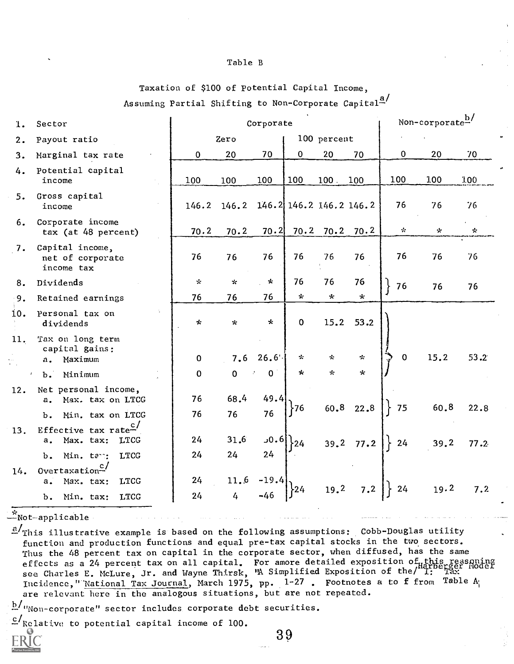# Table B

Taxation of \$100 of Potential Capital Income,

Assuming Partial Shifting to Non-Corporate Capital<sup>a/</sup>

| 1.                   | Sector                                                       |             | Corporate                     |                |              |                |               |               | Non-corporate $\frac{b}{c}$ |               |  |
|----------------------|--------------------------------------------------------------|-------------|-------------------------------|----------------|--------------|----------------|---------------|---------------|-----------------------------|---------------|--|
| 2.                   | Payout ratio                                                 |             | Zero                          |                |              | 100 percent    |               |               |                             |               |  |
| 3.                   | Marginal tax rate                                            | 0           | 20                            | 70             | 0            | 20             | 70            | $\mathbf 0$   | 20                          | 70            |  |
| 4.                   | Potential capital<br>income                                  | 100         | 100                           | 100            | 100          | $100$ .        | 100           | 100           | 1.00                        | 1.00          |  |
| 5.                   | Gross capital<br>income                                      | 146.2       | 146.2 146.2 146.2 146.2 146.2 |                |              |                |               | 76            | 76                          | 76            |  |
| 6.                   | Corporate income<br>tax (at 48 percent)                      | 70.2        | 70.2                          | 70.2           | 70.2         |                | $70.2$ $70.2$ | $\mathcal{L}$ | *                           | $\mathcal{L}$ |  |
| 7.                   | Capital income,<br>net of corporate<br>income tax            | 76          | 76                            | 76             | 76           | 76             | 76            | 76            | 76                          | 76            |  |
| 8.                   | Dividends                                                    | ∻           | $\mathcal{H}$                 | $\star$        | 76           | 76             | 76            | 76            | 76                          | 76            |  |
| 9.                   | Retained earnings                                            | 76          | 76                            | 76             | $\mathbf{x}$ | $\pmb{\times}$ | $\star$       |               |                             |               |  |
| 10.                  | Personal tax on<br>dividends                                 | *           | $\star$                       | *              | 0            | 15.2           | 53.2          |               |                             |               |  |
| 11.                  | Tax on long term<br>capital gains:<br>a. Maximum             | $\mathbf 0$ | 7.6                           | 26.6'          | ∗            | $\star$        | ÷             | $\mathbf 0$   | 15.2                        | 53.2          |  |
| $b$ .                | Minimum                                                      | $\Omega$    | $\overline{0}$                | 0 <sup>1</sup> | $\star$      | $\pi$          | $\star$       |               |                             |               |  |
| 12.                  | Net personal income,<br>a. Max. tax on LTCG                  | 76          | 68.4                          | 49.4           | $-76$        |                | 60.8 22.8     | 75            | 60.8                        | 22.8          |  |
| ъ.                   | Min. tax on LTCG                                             | 76          | 76                            | 76             |              |                |               |               |                             |               |  |
| 13.<br>$a_{\bullet}$ | Effective tax rate <sup>c/</sup><br><b>LTCG</b><br>Max. tax: | 24          | 31.6                          | 0.6            | 24           |                | $39.2$ 77.2   | 24            | 39.2                        | 77.2          |  |
| b.<br>14.            | <b>LTCG</b><br>Min. tan:<br>Overtaxation- $\frac{c}{c}$      | 24          | 24                            | 24             |              |                |               |               |                             |               |  |
| а.                   | <b>LTCG</b><br>Max. tax:                                     | 24          | 11.6                          | $-19.4$        |              |                |               |               |                             |               |  |
| $\mathbf b$ .        | <b>LTCG</b><br>Min. tax:                                     | 24          | 4                             | $-46$          | $-24$        | 19.2           | 7.2           | 24            | 19.2                        | 7.2           |  |

 $\mathbb{Z}_{\texttt{Not-applicable}}$ 

 $a/r$  This illustrative example is based on the following assumptions: Cobb-Douglas utility function and production functions and equal pre-tax capital stocks in the two sectors. Thus the 48 percent tax on capital in the corporate sector, when diffused, has the same effects as a 24 percent tax on all capital. For amore detailed exposition of this reasoning<br>see Charles E. McLure, Jr. and Wayne Thirsk, "A Simplified Exposition of the/ I: [13] Incidence, "National Tax Journal, March 1975, pp. 1-27. Footnotes a to f from Table A; are relevant here in the analogous situations, but are not repeated.

 $b/u_{\text{Non-cor္}$  sector includes corporate debt securities.

 $c /$ Relative to potential capital income of 100.

3 9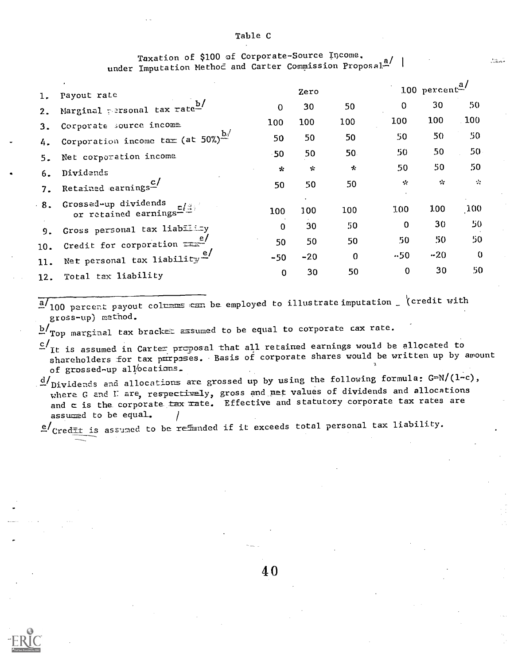# Table C

# Taxation of \$100 of Corporate-Source Income. under Imputation Methoc and Carter Commission Proposal-

**Barbara** 

| ı.  | Payout rate                                    |             | Zero         |          |             | 100 percent <sup>a/</sup> |                     |  |
|-----|------------------------------------------------|-------------|--------------|----------|-------------|---------------------------|---------------------|--|
| 2.  | Marginal personal tax rate-                    | $\Omega$    | 30           | 50       | 0           | 30                        | 50                  |  |
| 3.  | Corporate source income                        | 100         | 100          | 100      | 100         | 100                       | 100                 |  |
| 4.  | Corporation income tax (at 50%) $\frac{b}{r}$  | 50          | 50           | 50       | 50          | 50                        | 50 <sub>5</sub>     |  |
|     | Net corporation income.                        | $-50$       | 50           | 50       | 50          | 50                        | $50 -$              |  |
| 6.  | Dividends                                      | *           | $\mathbf{x}$ | $\star$  | 50          | 50                        | 50                  |  |
| 7.  | Retained earnings- $\frac{c}{c}$               | 50          | 50           | 50       | $\sim$      | $\sim$                    | $\ddot{\mathbf{r}}$ |  |
| 8.  | Grossed-up dividends<br>or retained earnings-  | 100         | 100          | 100      | 100         | 100                       | 100                 |  |
| 9.  | Gross personal tax liability                   | $\Omega$    | 30           | 50       | $\mathbf 0$ | 30                        | 50                  |  |
| 10. | Credit for corporation $\frac{e}{\sqrt{2\pi}}$ | 50          | 50           | 50       | 50          | 50                        | 50                  |  |
| 11. | Net personal tax liability                     | $-50$       | $-20$        | $\Omega$ | .50         | $-20$                     | $\Omega$            |  |
| 12. | Total tax liability                            | $\mathbf 0$ | 30           | 50       | $\mathbf 0$ | 30                        | 50                  |  |

 $\frac{a}{100}$  percent payout columns can be employed to illustrate imputation (credit with gross-up) method.

 $\mathtt{b}/_\mathtt{Top}$  marginal tax bracket assumed to be equal to corporate cax rate.

- c/<sub>It</sub> is assumed in Carter proposal that all retained earnings would be allocated to ation of the resolution of corporate shares would be written up by amount of grossed-up allocations.
- $d/\rm_{Dividends}$  and allocations are grossed up by using the following formula: G=N/(1-c), where G and I are, respectively, gross and net values of dividends and allocations and  $\in$  is the corporate  $\frac{1}{\sqrt{1-x}}$  ate. Effective and statutory corporate tax rates are assumed to be equal.

e/Credit is assumed to be refinded if it exceeds total personal tax liability.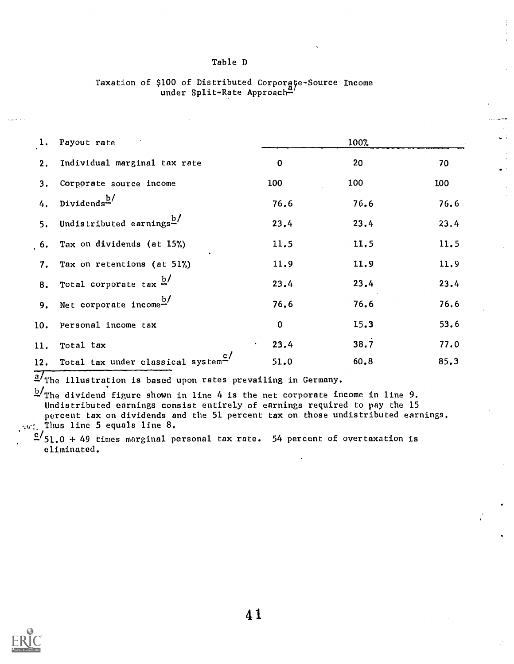# Table D

| 1. Payout rate                |                                                   | 100%              |      |      |  |  |
|-------------------------------|---------------------------------------------------|-------------------|------|------|--|--|
| 2.                            | Individual marginal tax rate                      | $\mathbf 0$       | 20   | 70   |  |  |
| 3.                            | Corporate source income                           | 100               | 100  | 100  |  |  |
| Dividends <sup>b/</sup><br>4. |                                                   | 76.6              | 76.6 | 76.6 |  |  |
|                               | 5. Undistributed earnings <sup>b/</sup>           | 23.4              | 23.4 | 23.4 |  |  |
|                               | 6. Tax on dividends (at 15%)                      | 11.5              | 11.5 | 11.5 |  |  |
|                               | 7. Tax on retentions (at 51%)                     | 11.9              | 11.9 | 11.9 |  |  |
|                               | 8. Total corporate tax $\frac{b}{c}$              | 23.4              | 23.4 | 23.4 |  |  |
|                               | 9. Net corporate income $\frac{b}{c}$             | 76.6              | 76.6 | 76.6 |  |  |
|                               | 10. Personal income tax                           | $\mathbf 0$       | 15.3 | 53.6 |  |  |
| Total tax<br>11.              |                                                   | 23.4<br>$\bullet$ | 38.7 | 77.0 |  |  |
|                               | 12. Total tax under classical system <sup>c</sup> | 51.0              | 60.8 | 85.3 |  |  |

# Taxation of \$100 of Distributed Corporgçe-Source Income under Split-Rate Approach-

 $a/r$  The illustration is based upon rates prevailing in Germany.

 $b/m$  dividend figure shown in line 4 is the net corporate income in line 9. Undistributed earnings consist entirely of earnings required to pay the 15 percent tax on dividends and the 51 percent tax on those undistributed earnings.  $w_i$ . Thus line 5 equals line 8.

 $c$ <sup> $\frac{c}{51.0}$ </sup> + 49 times marginal personal tax rate. 54 percent of overtaxation is eliminated.

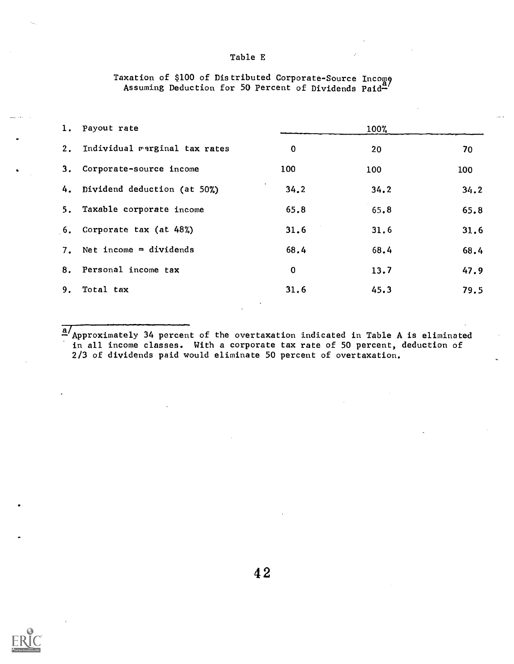# Table E

|    | 1. Payout rate                   |             | 100% |      |
|----|----------------------------------|-------------|------|------|
|    | 2. Individual marginal tax rates | $\mathbf 0$ | 20   | 70   |
|    | 3. Corporate-source income       | 100         | 100  | 100  |
|    | 4. Dividend deduction (at 50%)   | 34.2        | 34.2 | 34.2 |
|    | 5. Taxable corporate income      | 65.8        | 65.8 | 65.8 |
|    | 6. Corporate tax (at 48%)        | 31.6        | 31.6 | 31.6 |
| 7. | Net income = dividends           | 68.4        | 68.4 | 68.4 |
|    | 8. Personal income tax           | $\mathbf 0$ | 13.7 | 47.9 |
| 9. | Total tax                        | 31.6        | 45.3 | 79.5 |
|    |                                  |             |      |      |

### Taxation of \$100 of Distributed Assuming Deduction for 50 Corporate-Source Income Percent of Dividends Paid-

 $\frac{a}{2}$  Approximately 34 percent of the overtaxation indicated in Table A is eliminated in all income classes. With a corporate tax rate of 50 percent, deduction of 2/3 of dividends paid would eliminate 50 percent of overtaxation.

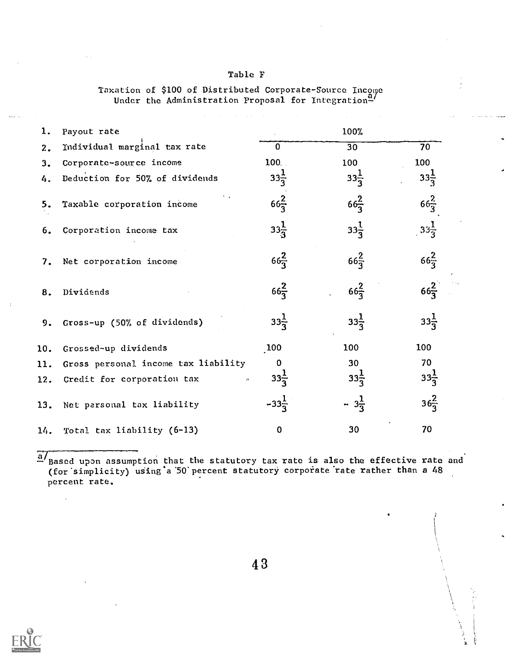| <b>Table F</b> |  |  |  |
|----------------|--|--|--|
|----------------|--|--|--|

Taxation of \$100 of Distributed Corporate-Source Income Under the Administration Proposal for Integration<del>-</del>'

| ı.  | Payout rate                         |                  | 100%            |                 |
|-----|-------------------------------------|------------------|-----------------|-----------------|
| 2.  | Individual marginal tax rate        | $\mathbf 0$      | 30              | 70              |
| 3.  | Corporate-source income             | 100.             | 100             | 100             |
| 4.  | Deduction for 50% of dividends      | $33\frac{1}{3}$  | $33\frac{1}{3}$ | $33\frac{1}{3}$ |
| 5.  | Taxable corporation income          | $66\frac{2}{3}$  | $66\frac{2}{3}$ | $66\frac{2}{3}$ |
| 6.  | Corporation income tax              | $33\frac{1}{3}$  | $33\frac{1}{3}$ | $33\frac{1}{3}$ |
| 7.  | Net corporation income              | $66\frac{2}{3}$  | $66\frac{2}{3}$ | $66\frac{2}{3}$ |
| 8.  | Dividends                           | $66\frac{2}{3}$  | $66\frac{2}{3}$ | $66\frac{2}{3}$ |
| 9.  | Gross-up (50% of dividends)         | $33\frac{1}{3}$  | $33\frac{1}{3}$ | $33\frac{1}{3}$ |
| 10. | Grossed-up dividends                | 100              | 100             | 100             |
| 11. | Gross personal income tax liability | 0                | 30              | 70              |
| 12. | Credit for corporation tax          | $33\frac{1}{3}$  | $33\frac{1}{3}$ | $33\frac{1}{3}$ |
| 13. | Net personal tax liability          | $-33\frac{1}{3}$ | $-3\frac{1}{3}$ | $36\frac{2}{3}$ |
| 14. | Total tax liability (6-13)          | 0                | 30              | 70              |

a/<br>- Based upon assumption that the statutory tax rate is also the effective rate and (for simplicity) using a 50 percent statutory corporate rate rather than a 48 percent rate.



4 3

 $\begin{pmatrix} 1 \\ 0 \\ 0 \\ 0 \end{pmatrix}$ ţ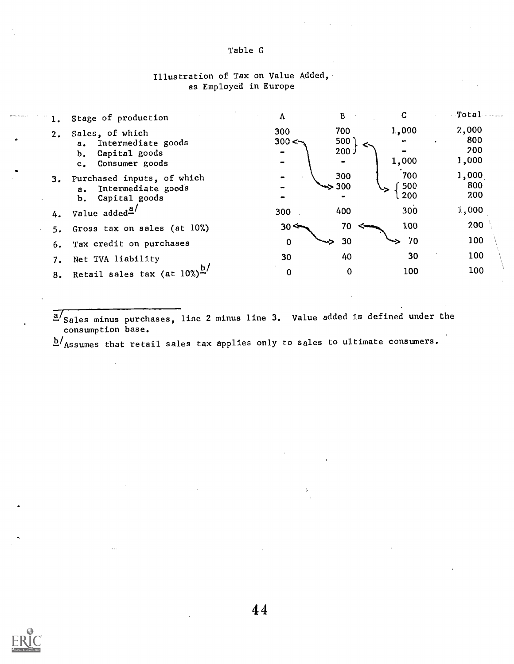# Table G

# Illustration of Tax on Value Added, as Employed in Europe

|    | 1. Stage of production                                                     | A                    | В                        | C                 | $-$ To ta $1$       |
|----|----------------------------------------------------------------------------|----------------------|--------------------------|-------------------|---------------------|
| 2. | Sales, of which<br>a. Intermediate goods                                   | 300<br>300 $\leq$    | 700<br>500               | 1,000<br>œ٠       | 2,000<br>800        |
|    | Capital goods<br>b.<br>Consumer goods<br>$\mathbf{c}_{\bullet}$            |                      | 200.                     | 1,000             | 200<br>1,000        |
| 3. | Purchased inputs, of which<br>a. Intermediate goods<br>Capital goods<br>Ъ. |                      | 300<br>$\Rightarrow$ 300 | 700<br>500<br>200 | 1,000<br>800<br>200 |
| 4. | Value added <sup>4</sup> /                                                 | 300                  | 400                      | 300               | 1,000               |
| 5. | Gross tax on sales (at 10%)                                                | $30 \Leftrightarrow$ | 70                       | 100               | 200                 |
| 6. | Tax credit on purchases                                                    | 0                    | 30                       | 70                | 100 <sub>1</sub>    |
|    | Net TVA liability                                                          | 30                   | 40                       | 30                | 100                 |
|    | 8. Retail sales tax (at $10\%)^D$                                          | 0                    | $\Omega$                 | 100               | 100                 |

a/Sales minus purchases, line 2 minus line 3. Value added is defined under the consumption base.

 $b/$ Assumes that retail sales tax applies only to sales to ultimate consumers.

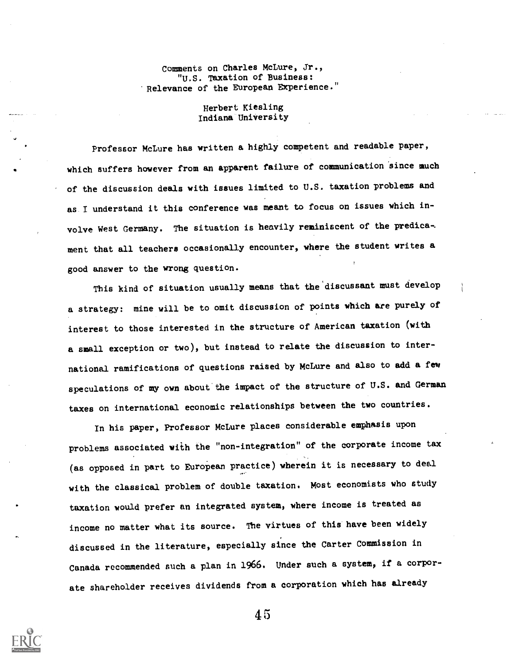# Comments on Charles McLure, Jr., "U.S. Taxation of Business: 'Relevance of the European Experience."

# Herbert Kiesling Indiana University

Professor McLure has written a highly competent and readable paper, which suffers however from an apparent failure of communication since much of the discussion deals with issues limited to U.S. taxation problems and as I understand it this conference was meant to focus on issues which involve West Germany. The situation is heavily reminiscent of the predica-. ment that all teachers occasionally encounter, where the student writes a good answer to the wrong question.

This kind of situation usually means that the'discussant must develop a strategy: mine will be to omit discussion of points which are purely of interest to those interested in the structure of American taxation (with a small exception or two), but instead to relate the discussion to international ramifications of questions raised by McLure and also to add a few speculations of my own about the impact of the structure of U.S. and German taxes on international economic relationships between the two countries.

In his paper, Professor McLure places considerable emphasis upon problems associated with the "non-integration" of the corporate income tax (as opposed in part to European practice) wherein it is necessary to deal with the classical problem of double taxation. Most economists who study taxation would prefer an integrated system, where income is treated as income no matter what its source. The virtues of this have been widely discussed in the literature, especially since the Carter Commission in Canada recommended such a plan in 1966. Under such a system, if a corporate shareholder receives dividends from a corporation which has already

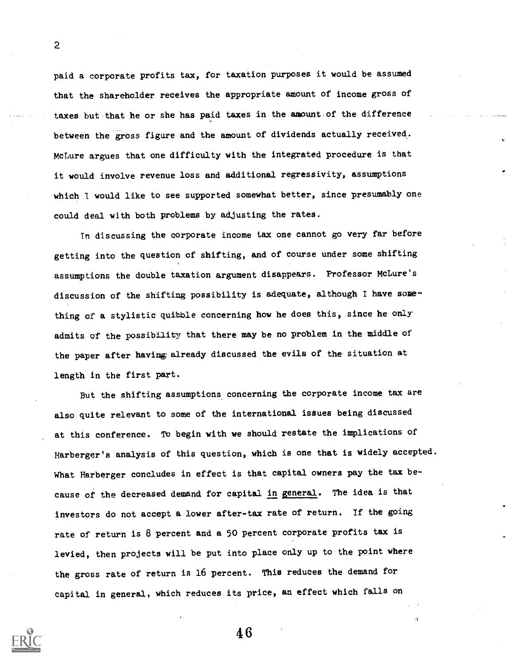paid a corporate profits tax, for taxation purposes it would be assumed that the shareholder receives the appropriate amount of income gross of taxes.but-that he or she has paid taxes in the amount of the difference between the gross figure and the amount of dividends actually received.. McLure argues that one difficulty with the integrated procedure is that it would involve revenue loss and additional regressivity, assumptions which I would like to see supported somewhat better, since presumably one could deal with both problems by adjusting the rates.

In discussing the oorporate income tax one cannot go very far before getting into the question of shifting, and of course under some shifting assumptions the double taxation argument disappears. Professor McLure's discussion of the shifting possibility is adequate, although I have something of a stylistic quibble concerning how he does this, since he only admits of the possibility that there may be no problem in the middle of the paper after having already discussed the evils of the situation at length in the first part.

But the shifting assumptions concerning the corporate income tax are also quite relevant to some of the international issues being discussed at this conference. To begin with we should restate the implications of Harberger's analysis of this question, which is one that is widely accepted. What Harberger concludes in effect is that capital owners pay the tax because of the decreased demand for capital in general. The idea is that investors do not accept a lower after-tax rate of return. If the going rate of return is 8 percent and a 50 percent corporate profits tax is levied, then projects will be put into place only up to the point where the gross rate of return is 16 percent. This reduces the demand for capital in general, which reduces its price, an effect which falls on



2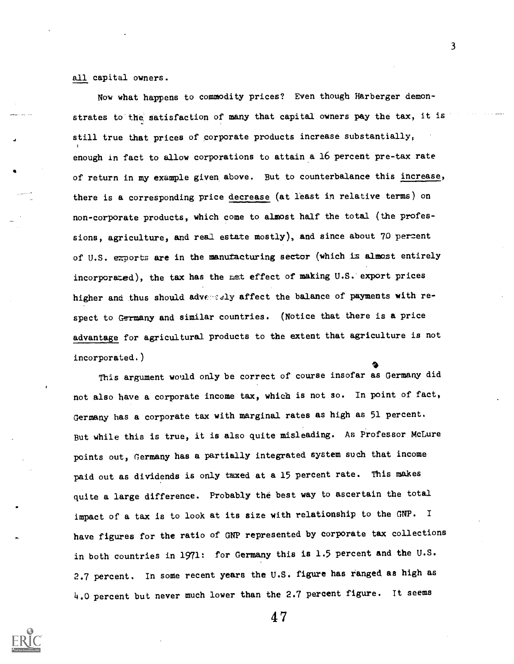all capital owners.

Now what happens to commodity prices? Even though Harberger demonstrates to the satisfaction of many that capital owners pay the tax, it is still true that prices of corporate products increase substantially, enough in fact to allow corporations to attain a 16 percent pre-tax rate of return in my example given above. But to counterbalance this increase, there is a corresponding price decrease (at least in relative terms) on non-corporate products, which come to almost half the total (the professions, agriculture, and real estate mostly), and since about 70 percent of U.S. exports are in the manufacturing sector (which is almost entirely incorporated), the tax has the met effect of making U.S.'export prices higher and thus should adversely affect the balance of payments with respect to Germany and similar countries. (Notice that there is a price advantage for agricultural products to the extent that agriculture is not incorporated.)

This argument would only be correct of course insofar as Germany did not also have a corporate income tax, which is not so. In point of fact, Germany has a corporate tax with marginal rates as high as 51 percent. But while this is true, it is also quite misleading. As Professor McLure points out, Germany has a partially integrated system such that income paid out as dividends is only taxed at a 15 percent rate. This makes quite a large difference. Probably the best way to ascertain the total impact of a tax is to look at its size with relationship to the GNP. <sup>I</sup> have figures for the ratio of GNP represented by corporate tax collections in both countries in 1971: for Germany this is 1.5 percent and the U.S. 2.7 percent. In some recent years the U.S. figure has fanged as high as 4.0 percent but never much lower than the 2.7 percent figure. It seems



4 7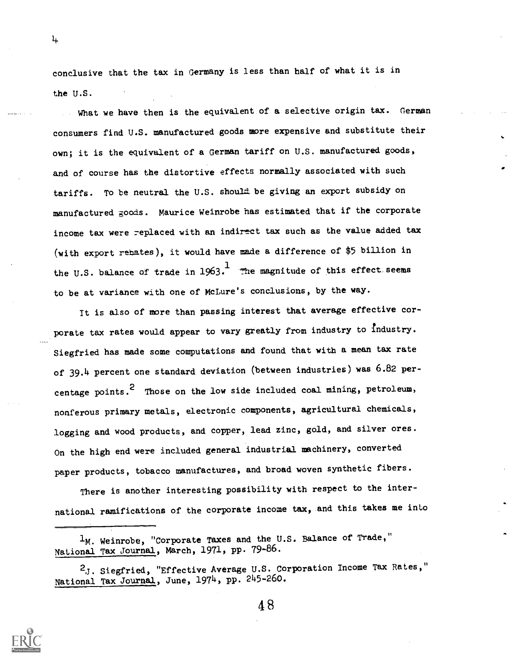conclusive that the tax in Germany is less than half of what it is in the U.S.

What we have then is the equivalent of a selective origin tax. German consumers find U.S. manufactured goods more expensive and substitute their own; it is the equivalent of a German tariff on U.S. manufactured goods, and of course has the distortive effects normally associated with such tariffs. To be neutral the U.S. should be giving an export subsidy on manufactured goods. Maurice Weinrobe has estimated that if the corporate income tax were replaced with an indirect tax such as the value added tax (with export rebates), it would have made a difference of \$5 billion in the U.S. balance of trade in  $1963 \cdot$  The magnitude of this effect seems to be at variance with one of McLure's conclusions, by the way.

It is also of more than passing interest that average effective corporate tax rates would appear to vary greatly from industry to industry. Siegfried has made some computations and found that with a mean tax rate of 39.4 percent one standard deviation (between industries) was 6.82 percentage points.<sup>2</sup> Those on the low side included coal mining, petroleum, nonferous primary metals, electronic components, agricultural chemicals, logging and wood products, and copper, lead zinc, gold, and silver ores. On the high end were included general industrial machinery, converted paper products, tobacco manufactures, and broad woven synthetic fibers.

There is another interesting possibility with respect to the international ramifications of the corporate income tax, and this takes me into



 $\frac{1}{2}$ 

 $1_M$ . Weinrobe, "Corporate Taxes and the U.S. Balance of Trade," National Tax Journal, March, 1971, pp. 79-86.

<sup>2.</sup>J. Siegfried, "Effective Average U.S. Corporation Income Tax Rates," National Tax Journal, June, 1974, pp. 245-26o.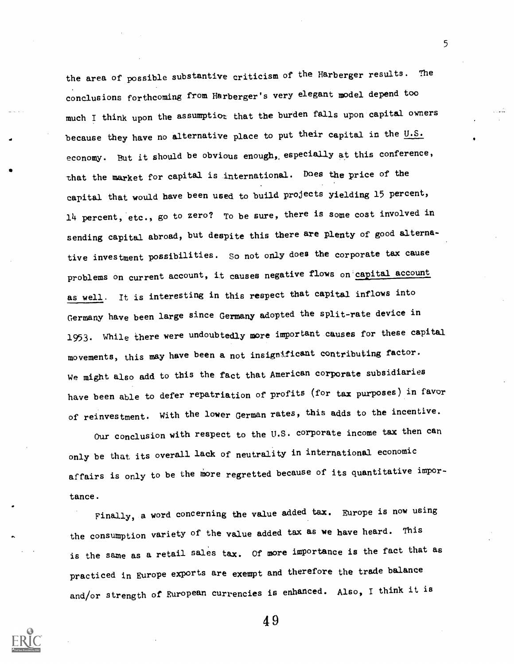the area of possible substantive criticism of the Harberger results. The conclusions forthcoming from Harberger's very elegant model depend too much I think upon the assumptior that the burden falls upon capital owners because they have no alternative place to put their capital in the  $U.S.$ economy. But it should be obvious enough, especially at this conference, that the market for capital is international. Does the price of the capital that would have been used to build projects Yielding 15 percent, 14 percent, etc., go to zero? To be sure, there is some cost involved in sending capital abroad, but despite this there are plenty of good alternative investment possibilities. so not only does the corporate tax cause problems on current account, it causes negative flows on capital account as well. It is interesting in this respect that capital inflows into Germany have been large since Germany adopted the split-rate device in 1953. While there were undoubtedly more important causes for these capital movements, this may have been a not insignificant contributing factor. We might also add to this the fact that American corporate subsidiaries have been able to defer repatriation of profits (for tax purposes) in favor of reinvestment. With the lower German rates, this adds to the incentive.

Our conclusion with respect to the U.S. corporate income tax then can only be that its overall lack of neutrality in international economic affairs is only to be the more regretted because of its quantitative importance.

Finally, a word concerning the value added tax. Europe is now using the consumption variety of the value added tax as we have heard. This is the same as a retail sales tax. Of more importance is the fact that as practiced in Europe exports are exempt and therefore the trade balance and/or strength of European currencies is enhanced. Also, I think it is

49